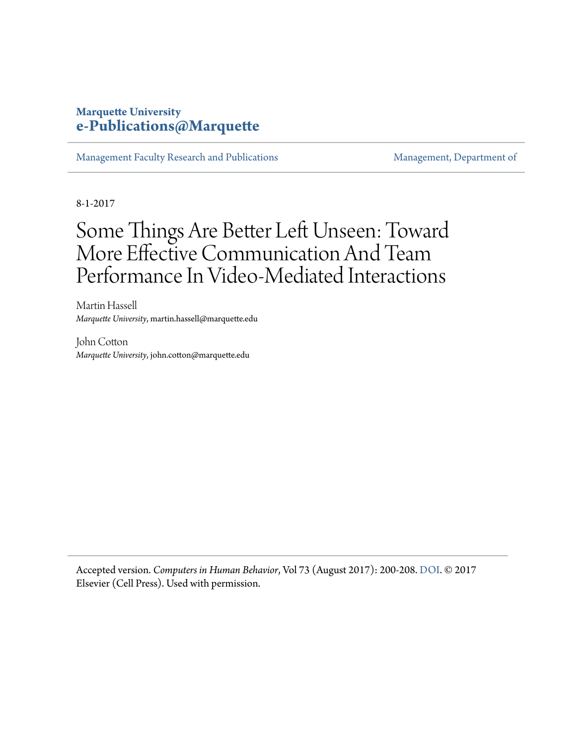### **Marquette University [e-Publications@Marquette](https://epublications.marquette.edu)**

[Management Faculty Research and Publications](https://epublications.marquette.edu/mgmt_fac) [Management, Department of](https://epublications.marquette.edu/mgmt)

8-1-2017

## Some Things Are Better Left Unseen: Toward More Effective Communication And Team Performance In Video-Mediated Interactions

Martin Hassell *Marquette University*, martin.hassell@marquette.edu

John Cotton *Marquette University*, john.cotton@marquette.edu

Accepted version. *Computers in Human Behavior*, Vol 73 (August 2017): 200-208. [DOI.](https://doi.org/10.1016/j.chb.2017.03.039) © 2017 Elsevier (Cell Press). Used with permission.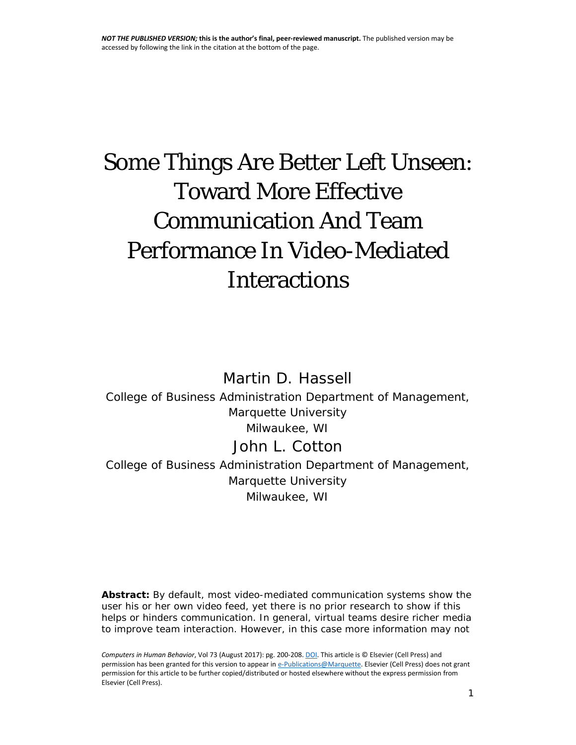# Some Things Are Better Left Unseen: Toward More Effective Communication And Team Performance In Video-Mediated Interactions

Martin D. Hassell

*College of Business Administration Department of Management, Marquette University Milwaukee, WI*

### John L. Cotton

*College of Business Administration Department of Management, Marquette University Milwaukee, WI*

**Abstract:** By default, most video-mediated communication systems show the user his or her own video feed, yet there is no prior research to show if this helps or hinders communication. In general, virtual teams desire richer media to improve team interaction. However, in this case more information may not

*Computers in Human Behavior*, Vol 73 (August 2017): pg. 200-208[. DOI.](https://doi.org/10.1016/j.chb.2017.03.039) This article is © Elsevier (Cell Press) and permission has been granted for this version to appear i[n e-Publications@Marquette.](http://epublications.marquette.edu/) Elsevier (Cell Press) does not grant permission for this article to be further copied/distributed or hosted elsewhere without the express permission from Elsevier (Cell Press).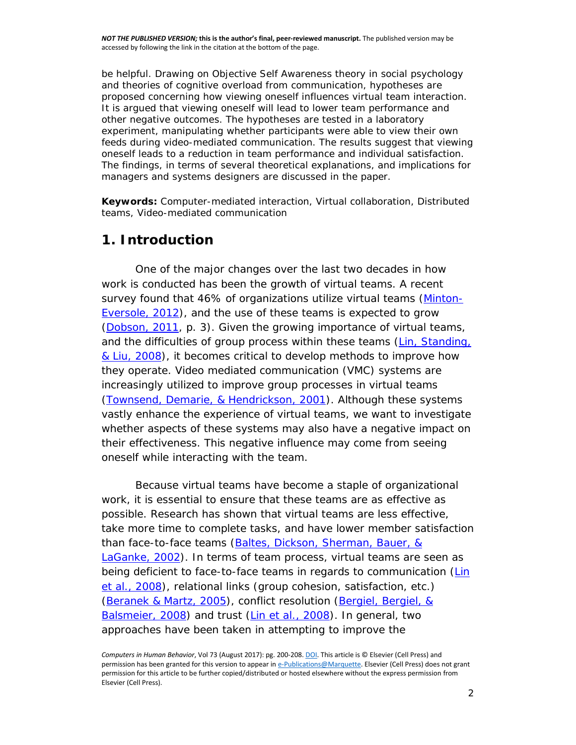*NOT THE PUBLISHED VERSION;* **this is the author's final, peer-reviewed manuscript.** The published version may be accessed by following the link in the citation at the bottom of the page.

be helpful. Drawing on Objective Self Awareness theory in social psychology and theories of cognitive overload from communication, hypotheses are proposed concerning how viewing oneself influences virtual team interaction. It is argued that viewing oneself will lead to lower team performance and other negative outcomes. The hypotheses are tested in a laboratory experiment, manipulating whether participants were able to view their own feeds during video-mediated communication. The results suggest that viewing oneself leads to a reduction in team performance and individual satisfaction. The findings, in terms of several theoretical explanations, and implications for managers and systems designers are discussed in the paper.

**Keywords:** Computer-mediated interaction, Virtual collaboration, Distributed teams, Video-mediated communication

### **1. Introduction**

One of the major changes over the last two decades in how work is conducted has been the growth of virtual teams. A recent survey found that 46% of organizations utilize virtual teams [\(Minton-](http://www.sciencedirect.com/science/article/pii/S0747563217301966?via%3Dihub#bib27)[Eversole, 2012\)](http://www.sciencedirect.com/science/article/pii/S0747563217301966?via%3Dihub#bib27), and the use of these teams is expected to grow [\(Dobson, 2011,](http://www.sciencedirect.com/science/article/pii/S0747563217301966?via%3Dihub#bib8) p. 3). Given the growing importance of virtual teams, and the difficulties of group process within these teams [\(Lin, Standing,](http://www.sciencedirect.com/science/article/pii/S0747563217301966?via%3Dihub#bib23)  [& Liu, 2008\)](http://www.sciencedirect.com/science/article/pii/S0747563217301966?via%3Dihub#bib23), it becomes critical to develop methods to improve how they operate. Video mediated communication (VMC) systems are increasingly utilized to improve group processes in virtual teams [\(Townsend, Demarie, & Hendrickson, 2001\)](http://www.sciencedirect.com/science/article/pii/S0747563217301966?via%3Dihub#bib37). Although these systems vastly enhance the experience of virtual teams, we want to investigate whether aspects of these systems may also have a negative impact on their effectiveness. This negative influence may come from seeing oneself while interacting with the team.

Because virtual teams have become a staple of organizational work, it is essential to ensure that these teams are as effective as possible. Research has shown that virtual teams are less effective, take more time to complete tasks, and have lower member satisfaction than face-to-face teams [\(Baltes, Dickson, Sherman, Bauer, &](http://www.sciencedirect.com/science/article/pii/S0747563217301966?via%3Dihub#bib1)  [LaGanke, 2002\)](http://www.sciencedirect.com/science/article/pii/S0747563217301966?via%3Dihub#bib1). In terms of team process, virtual teams are seen as being deficient to face-to-face teams in regards to communication [\(Lin](http://www.sciencedirect.com/science/article/pii/S0747563217301966?via%3Dihub#bib23)  et [al., 2008\)](http://www.sciencedirect.com/science/article/pii/S0747563217301966?via%3Dihub#bib23), relational links (group cohesion, satisfaction, etc.) [\(Beranek & Martz, 2005\)](http://www.sciencedirect.com/science/article/pii/S0747563217301966?via%3Dihub#bib3), conflict resolution [\(Bergiel, Bergiel, &](http://www.sciencedirect.com/science/article/pii/S0747563217301966?via%3Dihub#bib4)  [Balsmeier, 2008\)](http://www.sciencedirect.com/science/article/pii/S0747563217301966?via%3Dihub#bib4) and trust (Lin et [al., 2008\)](http://www.sciencedirect.com/science/article/pii/S0747563217301966?via%3Dihub#bib23). In general, two approaches have been taken in attempting to improve the

*Computers in Human Behavior*, Vol 73 (August 2017): pg. 200-208[. DOI.](https://doi.org/10.1016/j.chb.2017.03.039) This article is © Elsevier (Cell Press) and permission has been granted for this version to appear i[n e-Publications@Marquette.](http://epublications.marquette.edu/) Elsevier (Cell Press) does not grant permission for this article to be further copied/distributed or hosted elsewhere without the express permission from Elsevier (Cell Press).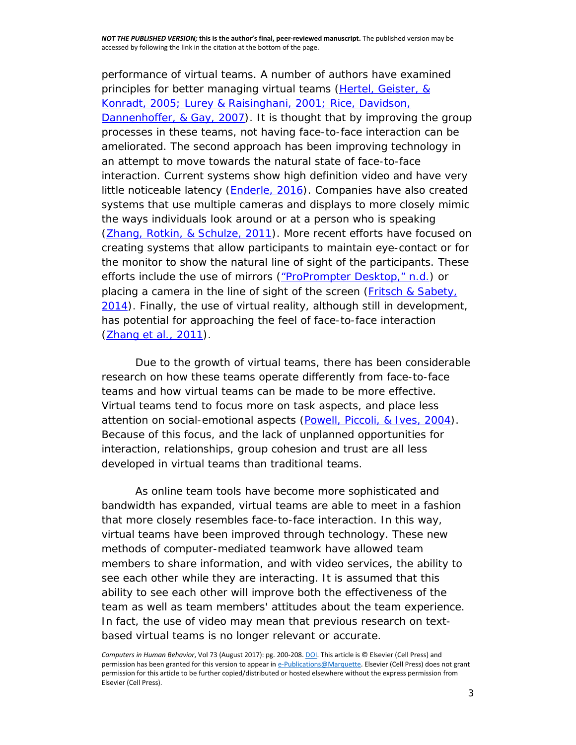performance of virtual teams. A number of authors have examined principles for better managing virtual teams [\(Hertel, Geister, &](http://www.sciencedirect.com/science/article/pii/S0747563217301966?via%3Dihub#bib17)  [Konradt, 2005; Lurey & Raisinghani, 2001; Rice, Davidson,](http://www.sciencedirect.com/science/article/pii/S0747563217301966?via%3Dihub#bib17)  [Dannenhoffer, & Gay, 2007\)](http://www.sciencedirect.com/science/article/pii/S0747563217301966?via%3Dihub#bib17). It is thought that by improving the group processes in these teams, not having face-to-face interaction can be ameliorated. The second approach has been improving technology in an attempt to move towards the natural state of face-to-face interaction. Current systems show high definition video and have very little noticeable latency [\(Enderle, 2016\)](http://www.sciencedirect.com/science/article/pii/S0747563217301966?via%3Dihub#bib11). Companies have also created systems that use multiple cameras and displays to more closely mimic the ways individuals look around or at a person who is speaking [\(Zhang, Rotkin, & Schulze, 2011\)](http://www.sciencedirect.com/science/article/pii/S0747563217301966?via%3Dihub#bib43). More recent efforts have focused on creating systems that allow participants to maintain eye-contact or for the monitor to show the natural line of sight of the participants. These efforts include the use of mirrors [\("ProPrompter Desktop," n.d.\)](http://www.sciencedirect.com/science/article/pii/S0747563217301966?via%3Dihub#bib31) or placing a camera in the line of sight of the screen [\(Fritsch & Sabety,](http://www.sciencedirect.com/science/article/pii/S0747563217301966?via%3Dihub#bib12)  [2014\)](http://www.sciencedirect.com/science/article/pii/S0747563217301966?via%3Dihub#bib12). Finally, the use of virtual reality, although still in development, has potential for approaching the feel of face-to-face interaction [\(Zhang et](http://www.sciencedirect.com/science/article/pii/S0747563217301966?via%3Dihub#bib43) al., 2011).

Due to the growth of virtual teams, there has been considerable research on how these teams operate differently from face-to-face teams and how virtual teams can be made to be more effective. Virtual teams tend to focus more on task aspects, and place less attention on social-emotional aspects [\(Powell, Piccoli, & Ives, 2004\)](http://www.sciencedirect.com/science/article/pii/S0747563217301966?via%3Dihub#bib30). Because of this focus, and the lack of unplanned opportunities for interaction, relationships, group cohesion and trust are all less developed in virtual teams than traditional teams.

As online team tools have become more sophisticated and bandwidth has expanded, virtual teams are able to meet in a fashion that more closely resembles face-to-face interaction. In this way, virtual teams have been improved through technology. These new methods of computer-mediated teamwork have allowed team members to share information, and with video services, the ability to see each other while they are interacting. It is assumed that this ability to see each other will improve both the effectiveness of the team as well as team members' attitudes about the team experience. In fact, the use of video may mean that previous research on textbased virtual teams is no longer relevant or accurate.

*Computers in Human Behavior*, Vol 73 (August 2017): pg. 200-208[. DOI.](https://doi.org/10.1016/j.chb.2017.03.039) This article is © Elsevier (Cell Press) and permission has been granted for this version to appear i[n e-Publications@Marquette.](http://epublications.marquette.edu/) Elsevier (Cell Press) does not grant permission for this article to be further copied/distributed or hosted elsewhere without the express permission from Elsevier (Cell Press).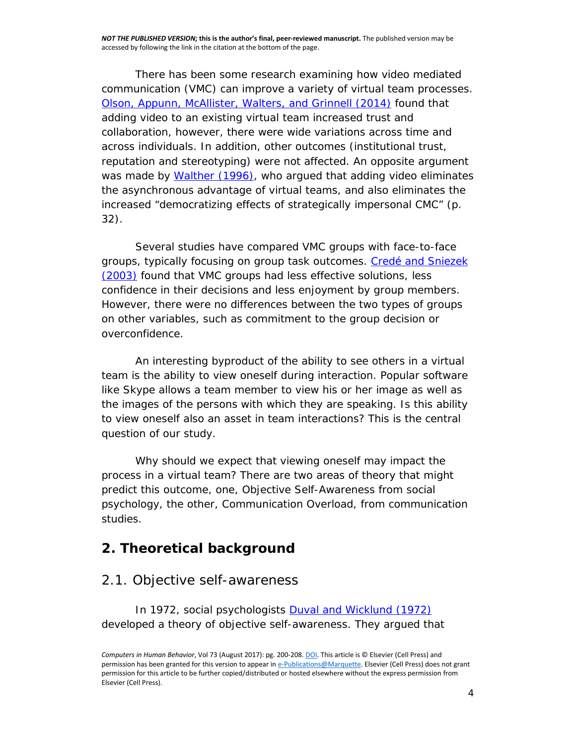There has been some research examining how video mediated communication (VMC) can improve a variety of virtual team processes. [Olson, Appunn, McAllister, Walters, and Grinnell \(2014\)](http://www.sciencedirect.com/science/article/pii/S0747563217301966?via%3Dihub#bib29) found that adding video to an existing virtual team increased trust and collaboration, however, there were wide variations across time and across individuals. In addition, other outcomes (institutional trust, reputation and stereotyping) were not affected. An opposite argument was made by [Walther \(1996\),](http://www.sciencedirect.com/science/article/pii/S0747563217301966?via%3Dihub#bib39) who argued that adding video eliminates the asynchronous advantage of virtual teams, and also eliminates the increased "democratizing effects of strategically impersonal CMC" (p. 32).

Several studies have compared VMC groups with face-to-face groups, typically focusing on group task outcomes. Credé and Sniezek [\(2003\)](http://www.sciencedirect.com/science/article/pii/S0747563217301966?via%3Dihub#bib6) found that VMC groups had less effective solutions, less confidence in their decisions and less enjoyment by group members. However, there were no differences between the two types of groups on other variables, such as commitment to the group decision or overconfidence.

An interesting byproduct of the ability to see others in a virtual team is the ability to view oneself during interaction. Popular software like Skype allows a team member to view his or her image as well as the images of the persons with which they are speaking. Is this ability to view oneself also an asset in team interactions? This is the central question of our study.

Why should we expect that viewing oneself may impact the process in a virtual team? There are two areas of theory that might predict this outcome, one, Objective Self-Awareness from social psychology, the other, Communication Overload, from communication studies.

### **2. Theoretical background**

### *2.1. Objective self-awareness*

In 1972, social psychologists **Duval and Wicklund (1972)** developed a theory of objective self-awareness. They argued that

*Computers in Human Behavior*, Vol 73 (August 2017): pg. 200-208[. DOI.](https://doi.org/10.1016/j.chb.2017.03.039) This article is © Elsevier (Cell Press) and permission has been granted for this version to appear i[n e-Publications@Marquette.](http://epublications.marquette.edu/) Elsevier (Cell Press) does not grant permission for this article to be further copied/distributed or hosted elsewhere without the express permission from Elsevier (Cell Press).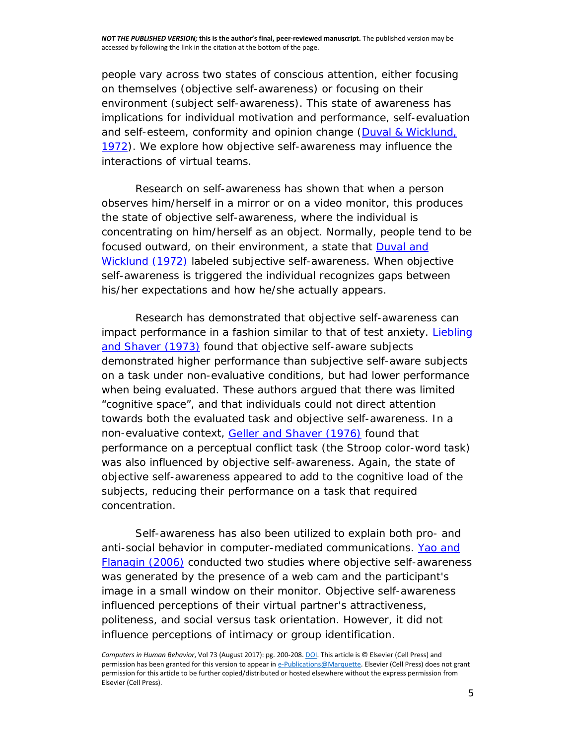people vary across two states of conscious attention, either focusing on themselves (objective self-awareness) or focusing on their environment (subject self-awareness). This state of awareness has implications for individual motivation and performance, self-evaluation and self-esteem, conformity and opinion change (Duval & Wicklund, [1972\)](http://www.sciencedirect.com/science/article/pii/S0747563217301966?via%3Dihub#bib10). We explore how objective self-awareness may influence the interactions of virtual teams.

Research on self-awareness has shown that when a person observes him/herself in a mirror or on a video monitor, this produces the state of objective self-awareness, where the individual is concentrating on him/herself as an object. Normally, people tend to be focused outward, on their environment, a state that [Duval and](http://www.sciencedirect.com/science/article/pii/S0747563217301966?via%3Dihub#bib10)  [Wicklund \(1972\)](http://www.sciencedirect.com/science/article/pii/S0747563217301966?via%3Dihub#bib10) labeled subjective self-awareness. When objective self-awareness is triggered the individual recognizes gaps between his/her expectations and how he/she actually appears.

Research has demonstrated that objective self-awareness can impact performance in a fashion similar to that of test anxiety. [Liebling](http://www.sciencedirect.com/science/article/pii/S0747563217301966?via%3Dihub#bib21)  [and Shaver \(1973\)](http://www.sciencedirect.com/science/article/pii/S0747563217301966?via%3Dihub#bib21) found that objective self-aware subjects demonstrated higher performance than subjective self-aware subjects on a task under non-evaluative conditions, but had lower performance when being evaluated. These authors argued that there was limited "cognitive space", and that individuals could not direct attention towards both the evaluated task and objective self-awareness. In a non-evaluative context, [Geller and Shaver \(1976\)](http://www.sciencedirect.com/science/article/pii/S0747563217301966?via%3Dihub#bib14) found that performance on a perceptual conflict task (the Stroop color-word task) was also influenced by objective self-awareness. Again, the state of objective self-awareness appeared to add to the cognitive load of the subjects, reducing their performance on a task that required concentration.

Self-awareness has also been utilized to explain both pro- and anti-social behavior in computer-mediated communications. [Yao and](http://www.sciencedirect.com/science/article/pii/S0747563217301966?via%3Dihub#bib42)  [Flanagin \(2006\)](http://www.sciencedirect.com/science/article/pii/S0747563217301966?via%3Dihub#bib42) conducted two studies where objective self-awareness was generated by the presence of a web cam and the participant's image in a small window on their monitor. Objective self-awareness influenced perceptions of their virtual partner's attractiveness, politeness, and social versus task orientation. However, it did not influence perceptions of intimacy or group identification.

*Computers in Human Behavior*, Vol 73 (August 2017): pg. 200-208[. DOI.](https://doi.org/10.1016/j.chb.2017.03.039) This article is © Elsevier (Cell Press) and permission has been granted for this version to appear i[n e-Publications@Marquette.](http://epublications.marquette.edu/) Elsevier (Cell Press) does not grant permission for this article to be further copied/distributed or hosted elsewhere without the express permission from Elsevier (Cell Press).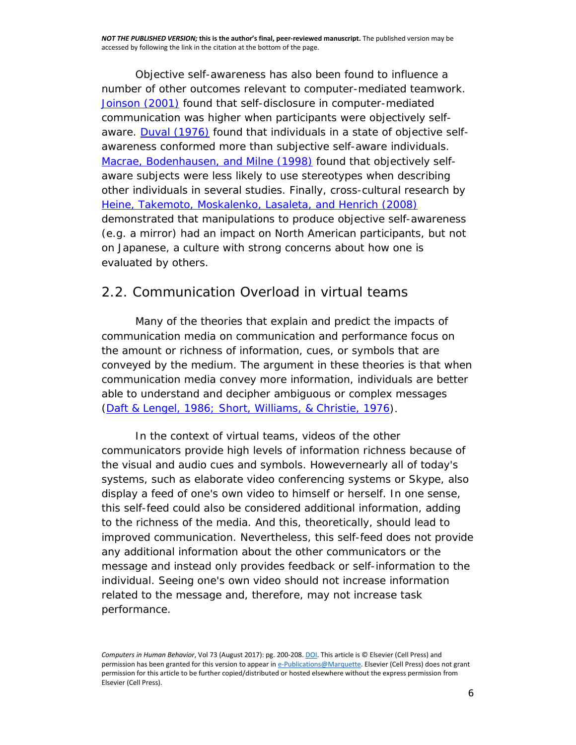Objective self-awareness has also been found to influence a number of other outcomes relevant to computer-mediated teamwork. [Joinson \(2001\)](http://www.sciencedirect.com/science/article/pii/S0747563217301966?via%3Dihub#bib20) found that self-disclosure in computer-mediated communication was higher when participants were objectively selfaware. [Duval \(1976\)](http://www.sciencedirect.com/science/article/pii/S0747563217301966?via%3Dihub#bib9) found that individuals in a state of objective selfawareness conformed more than subjective self-aware individuals. [Macrae, Bodenhausen, and Milne \(1998\)](http://www.sciencedirect.com/science/article/pii/S0747563217301966?via%3Dihub#bib25) found that objectively selfaware subjects were less likely to use stereotypes when describing other individuals in several studies. Finally, cross-cultural research by [Heine, Takemoto, Moskalenko, Lasaleta, and Henrich \(2008\)](http://www.sciencedirect.com/science/article/pii/S0747563217301966?via%3Dihub#bib16) demonstrated that manipulations to produce objective self-awareness (e.g. a mirror) had an impact on North American participants, but not on Japanese, a culture with strong concerns about how one is evaluated by others.

### *2.2. Communication Overload in virtual teams*

Many of the theories that explain and predict the impacts of communication media on communication and performance focus on the amount or richness of information, cues, or symbols that are conveyed by the medium. The argument in these theories is that when communication media convey more information, individuals are better able to understand and decipher ambiguous or complex messages [\(Daft & Lengel, 1986; Short, Williams, & Christie, 1976\)](http://www.sciencedirect.com/science/article/pii/S0747563217301966?via%3Dihub#bib7).

In the context of virtual teams, videos of the other communicators provide high levels of information richness because of the visual and audio cues and symbols. Howevernearly all of today's systems, such as elaborate video conferencing systems or Skype, also display a feed of one's own video to himself or herself. In one sense, this self-feed could also be considered additional information, adding to the richness of the media. And this, theoretically, should lead to improved communication. Nevertheless, this self-feed does not provide any additional information about the other communicators or the message and instead only provides feedback or self-information to the individual. Seeing one's own video should not increase information related to the message and, therefore, may not increase task performance.

*Computers in Human Behavior*, Vol 73 (August 2017): pg. 200-208[. DOI.](https://doi.org/10.1016/j.chb.2017.03.039) This article is © Elsevier (Cell Press) and permission has been granted for this version to appear i[n e-Publications@Marquette.](http://epublications.marquette.edu/) Elsevier (Cell Press) does not grant permission for this article to be further copied/distributed or hosted elsewhere without the express permission from Elsevier (Cell Press).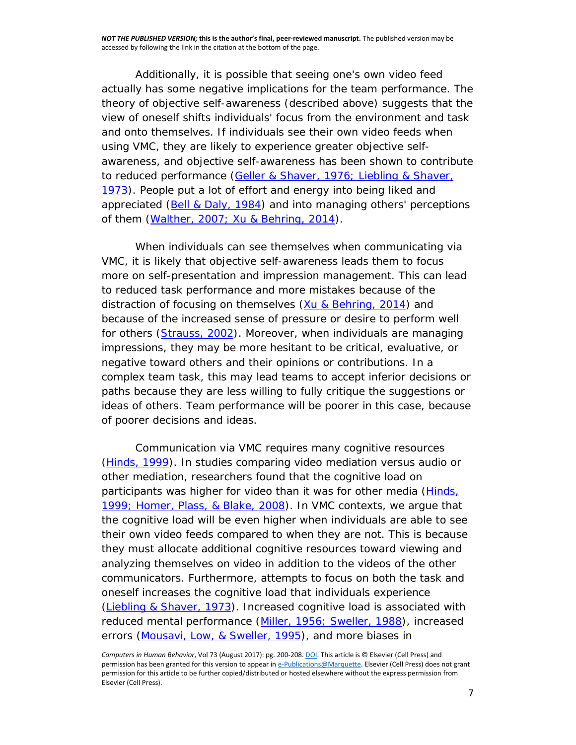Additionally, it is possible that seeing one's own video feed actually has some negative implications for the team performance. The theory of objective self-awareness (described above) suggests that the view of oneself shifts individuals' focus from the environment and task and onto themselves. If individuals see their own video feeds when using VMC, they are likely to experience greater objective selfawareness, and objective self-awareness has been shown to contribute to reduced performance (Geller & Shaver, 1976; Liebling & Shaver, [1973\)](http://www.sciencedirect.com/science/article/pii/S0747563217301966?via%3Dihub#bib14). People put a lot of effort and energy into being liked and appreciated [\(Bell & Daly, 1984\)](http://www.sciencedirect.com/science/article/pii/S0747563217301966?via%3Dihub#bib2) and into managing others' perceptions of them [\(Walther, 2007; Xu & Behring, 2014\)](http://www.sciencedirect.com/science/article/pii/S0747563217301966?via%3Dihub#bib40).

When individuals can see themselves when communicating via VMC, it is likely that objective self-awareness leads them to focus more on self-presentation and impression management. This can lead to reduced task performance and more mistakes because of the distraction of focusing on themselves [\(Xu & Behring, 2014\)](http://www.sciencedirect.com/science/article/pii/S0747563217301966?via%3Dihub#bib41) and because of the increased sense of pressure or desire to perform well for others [\(Strauss, 2002\)](http://www.sciencedirect.com/science/article/pii/S0747563217301966?via%3Dihub#bib35). Moreover, when individuals are managing impressions, they may be more hesitant to be critical, evaluative, or negative toward others and their opinions or contributions. In a complex team task, this may lead teams to accept inferior decisions or paths because they are less willing to fully critique the suggestions or ideas of others. Team performance will be poorer in this case, because of poorer decisions and ideas.

Communication via VMC requires many cognitive resources [\(Hinds, 1999\)](http://www.sciencedirect.com/science/article/pii/S0747563217301966?via%3Dihub#bib18). In studies comparing video mediation versus audio or other mediation, researchers found that the cognitive load on participants was higher for video than it was for other media (Hinds, [1999; Homer, Plass, & Blake, 2008\)](http://www.sciencedirect.com/science/article/pii/S0747563217301966?via%3Dihub#bib18). In VMC contexts, we argue that the cognitive load will be even higher when individuals are able to see their own video feeds compared to when they are not. This is because they must allocate additional cognitive resources toward viewing and analyzing themselves on video in addition to the videos of the other communicators. Furthermore, attempts to focus on both the task and oneself increases the cognitive load that individuals experience [\(Liebling & Shaver, 1973\)](http://www.sciencedirect.com/science/article/pii/S0747563217301966?via%3Dihub#bib21). Increased cognitive load is associated with reduced mental performance [\(Miller, 1956; Sweller, 1988\)](http://www.sciencedirect.com/science/article/pii/S0747563217301966?via%3Dihub#bib26), increased errors [\(Mousavi, Low, & Sweller, 1995\)](http://www.sciencedirect.com/science/article/pii/S0747563217301966?via%3Dihub#bib28), and more biases in

*Computers in Human Behavior*, Vol 73 (August 2017): pg. 200-208[. DOI.](https://doi.org/10.1016/j.chb.2017.03.039) This article is © Elsevier (Cell Press) and permission has been granted for this version to appear i[n e-Publications@Marquette.](http://epublications.marquette.edu/) Elsevier (Cell Press) does not grant permission for this article to be further copied/distributed or hosted elsewhere without the express permission from Elsevier (Cell Press).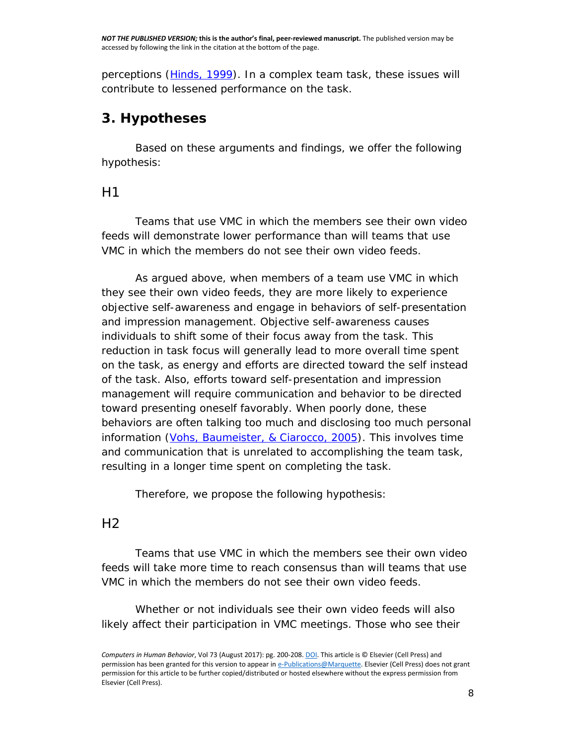perceptions [\(Hinds, 1999\)](http://www.sciencedirect.com/science/article/pii/S0747563217301966?via%3Dihub#bib18). In a complex team task, these issues will contribute to lessened performance on the task.

### **3. Hypotheses**

Based on these arguments and findings, we offer the following hypothesis:

### *H1*

Teams that use VMC in which the members see their own video feeds will demonstrate lower performance than will teams that use VMC in which the members do not see their own video feeds.

As argued above, when members of a team use VMC in which they see their own video feeds, they are more likely to experience objective self-awareness and engage in behaviors of self-presentation and impression management. Objective self-awareness causes individuals to shift some of their focus away from the task. This reduction in task focus will generally lead to more overall time spent on the task, as energy and efforts are directed toward the self instead of the task. Also, efforts toward self-presentation and impression management will require communication and behavior to be directed toward presenting oneself favorably. When poorly done, these behaviors are often talking too much and disclosing too much personal information [\(Vohs, Baumeister, & Ciarocco, 2005\)](http://www.sciencedirect.com/science/article/pii/S0747563217301966?via%3Dihub#bib38). This involves time and communication that is unrelated to accomplishing the team task, resulting in a longer time spent on completing the task.

Therefore, we propose the following hypothesis:

### *H2*

Teams that use VMC in which the members see their own video feeds will take more time to reach consensus than will teams that use VMC in which the members do not see their own video feeds.

Whether or not individuals see their own video feeds will also likely affect their participation in VMC meetings. Those who see their

*Computers in Human Behavior*, Vol 73 (August 2017): pg. 200-208[. DOI.](https://doi.org/10.1016/j.chb.2017.03.039) This article is © Elsevier (Cell Press) and permission has been granted for this version to appear i[n e-Publications@Marquette.](http://epublications.marquette.edu/) Elsevier (Cell Press) does not grant permission for this article to be further copied/distributed or hosted elsewhere without the express permission from Elsevier (Cell Press).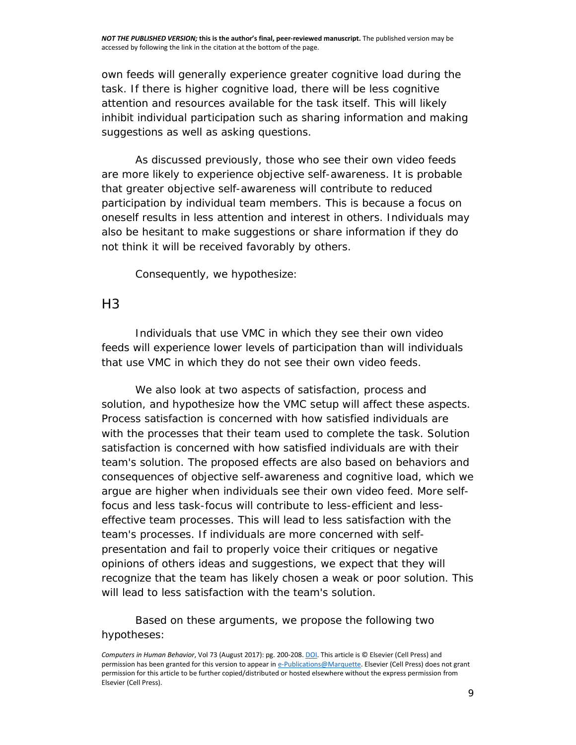*NOT THE PUBLISHED VERSION;* **this is the author's final, peer-reviewed manuscript.** The published version may be accessed by following the link in the citation at the bottom of the page.

own feeds will generally experience greater cognitive load during the task. If there is higher cognitive load, there will be less cognitive attention and resources available for the task itself. This will likely inhibit individual participation such as sharing information and making suggestions as well as asking questions.

As discussed previously, those who see their own video feeds are more likely to experience objective self-awareness. It is probable that greater objective self-awareness will contribute to reduced participation by individual team members. This is because a focus on oneself results in less attention and interest in others. Individuals may also be hesitant to make suggestions or share information if they do not think it will be received favorably by others.

Consequently, we hypothesize:

#### *H3*

Individuals that use VMC in which they see their own video feeds will experience lower levels of participation than will individuals that use VMC in which they do not see their own video feeds.

We also look at two aspects of satisfaction, process and solution, and hypothesize how the VMC setup will affect these aspects. Process satisfaction is concerned with how satisfied individuals are with the processes that their team used to complete the task. Solution satisfaction is concerned with how satisfied individuals are with their team's solution. The proposed effects are also based on behaviors and consequences of objective self-awareness and cognitive load, which we argue are higher when individuals see their own video feed. More selffocus and less task-focus will contribute to less-efficient and lesseffective team processes. This will lead to less satisfaction with the team's processes. If individuals are more concerned with selfpresentation and fail to properly voice their critiques or negative opinions of others ideas and suggestions, we expect that they will recognize that the team has likely chosen a weak or poor solution. This will lead to less satisfaction with the team's solution.

Based on these arguments, we propose the following two hypotheses:

*Computers in Human Behavior*, Vol 73 (August 2017): pg. 200-208[. DOI.](https://doi.org/10.1016/j.chb.2017.03.039) This article is © Elsevier (Cell Press) and permission has been granted for this version to appear i[n e-Publications@Marquette.](http://epublications.marquette.edu/) Elsevier (Cell Press) does not grant permission for this article to be further copied/distributed or hosted elsewhere without the express permission from Elsevier (Cell Press).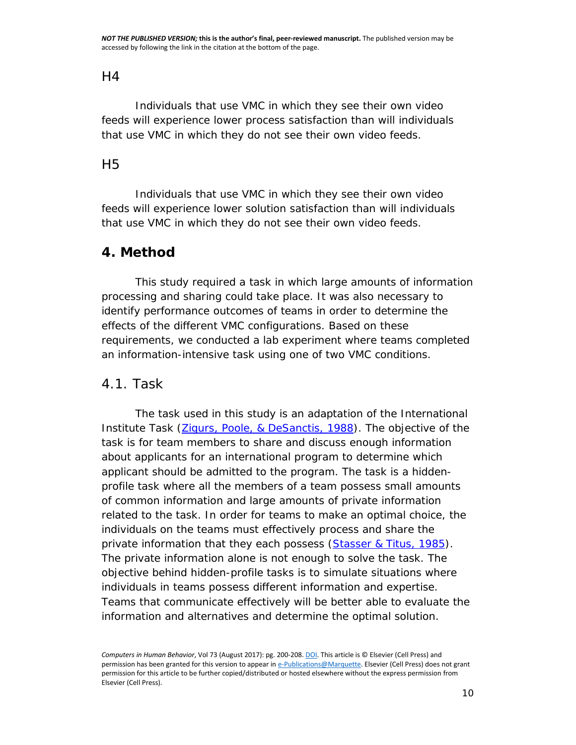### *H4*

Individuals that use VMC in which they see their own video feeds will experience lower process satisfaction than will individuals that use VMC in which they do not see their own video feeds.

### *H5*

Individuals that use VMC in which they see their own video feeds will experience lower solution satisfaction than will individuals that use VMC in which they do not see their own video feeds.

### **4. Method**

This study required a task in which large amounts of information processing and sharing could take place. It was also necessary to identify performance outcomes of teams in order to determine the effects of the different VMC configurations. Based on these requirements, we conducted a lab experiment where teams completed an information-intensive task using one of two VMC conditions.

### *4.1. Task*

The task used in this study is an adaptation of the International Institute Task [\(Zigurs, Poole, & DeSanctis, 1988\)](http://www.sciencedirect.com/science/article/pii/S0747563217301966?via%3Dihub#bib44). The objective of the task is for team members to share and discuss enough information about applicants for an international program to determine which applicant should be admitted to the program. The task is a hiddenprofile task where all the members of a team possess small amounts of common information and large amounts of private information related to the task. In order for teams to make an optimal choice, the individuals on the teams must effectively process and share the private information that they each possess [\(Stasser & Titus, 1985\)](http://www.sciencedirect.com/science/article/pii/S0747563217301966?via%3Dihub#bib34). The private information alone is not enough to solve the task. The objective behind hidden-profile tasks is to simulate situations where individuals in teams possess different information and expertise. Teams that communicate effectively will be better able to evaluate the information and alternatives and determine the optimal solution.

*Computers in Human Behavior*, Vol 73 (August 2017): pg. 200-208[. DOI.](https://doi.org/10.1016/j.chb.2017.03.039) This article is © Elsevier (Cell Press) and permission has been granted for this version to appear i[n e-Publications@Marquette.](http://epublications.marquette.edu/) Elsevier (Cell Press) does not grant permission for this article to be further copied/distributed or hosted elsewhere without the express permission from Elsevier (Cell Press).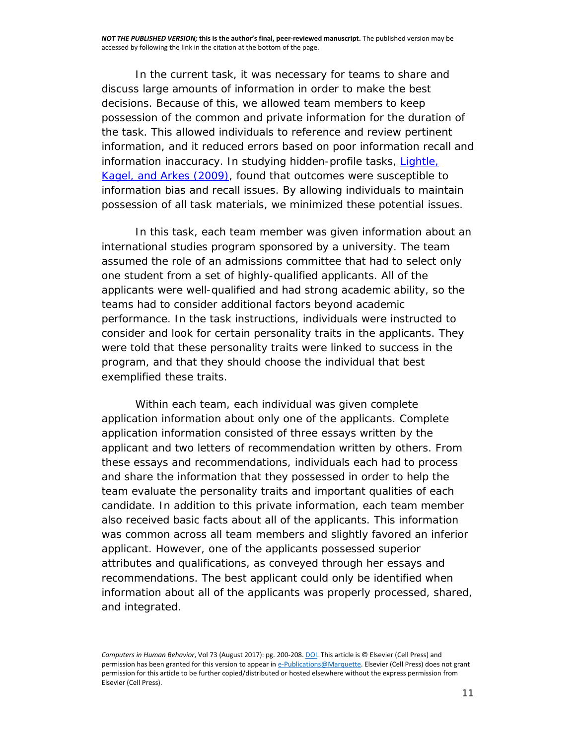In the current task, it was necessary for teams to share and discuss large amounts of information in order to make the best decisions. Because of this, we allowed team members to keep possession of the common and private information for the duration of the task. This allowed individuals to reference and review pertinent information, and it reduced errors based on poor information recall and information inaccuracy. In studying hidden-profile tasks, [Lightle,](http://www.sciencedirect.com/science/article/pii/S0747563217301966?via%3Dihub#bib22)  [Kagel, and Arkes \(2009\),](http://www.sciencedirect.com/science/article/pii/S0747563217301966?via%3Dihub#bib22) found that outcomes were susceptible to information bias and recall issues. By allowing individuals to maintain possession of all task materials, we minimized these potential issues.

In this task, each team member was given information about an international studies program sponsored by a university. The team assumed the role of an admissions committee that had to select only one student from a set of highly-qualified applicants. All of the applicants were well-qualified and had strong academic ability, so the teams had to consider additional factors beyond academic performance. In the task instructions, individuals were instructed to consider and look for certain personality traits in the applicants. They were told that these personality traits were linked to success in the program, and that they should choose the individual that best exemplified these traits.

Within each team, each individual was given complete application information about only one of the applicants. Complete application information consisted of three essays written by the applicant and two letters of recommendation written by others. From these essays and recommendations, individuals each had to process and share the information that they possessed in order to help the team evaluate the personality traits and important qualities of each candidate. In addition to this private information, each team member also received basic facts about all of the applicants. This information was common across all team members and slightly favored an inferior applicant. However, one of the applicants possessed superior attributes and qualifications, as conveyed through her essays and recommendations. The best applicant could only be identified when information about all of the applicants was properly processed, shared, and integrated.

*Computers in Human Behavior*, Vol 73 (August 2017): pg. 200-208[. DOI.](https://doi.org/10.1016/j.chb.2017.03.039) This article is © Elsevier (Cell Press) and permission has been granted for this version to appear i[n e-Publications@Marquette.](http://epublications.marquette.edu/) Elsevier (Cell Press) does not grant permission for this article to be further copied/distributed or hosted elsewhere without the express permission from Elsevier (Cell Press).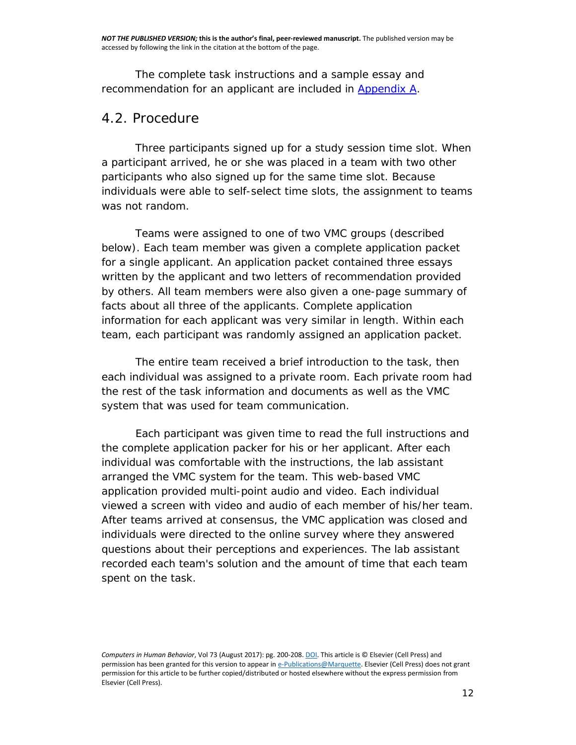The complete task instructions and a sample essay and recommendation for an applicant are included in [Appendix A.](http://www.sciencedirect.com/science/article/pii/S0747563217301966?via%3Dihub#appsec1)

#### *4.2. Procedure*

Three participants signed up for a study session time slot. When a participant arrived, he or she was placed in a team with two other participants who also signed up for the same time slot. Because individuals were able to self-select time slots, the assignment to teams was not random.

Teams were assigned to one of two VMC groups (described below). Each team member was given a complete application packet for a single applicant. An application packet contained three essays written by the applicant and two letters of recommendation provided by others. All team members were also given a one-page summary of facts about all three of the applicants. Complete application information for each applicant was very similar in length. Within each team, each participant was randomly assigned an application packet.

The entire team received a brief introduction to the task, then each individual was assigned to a private room. Each private room had the rest of the task information and documents as well as the VMC system that was used for team communication.

Each participant was given time to read the full instructions and the complete application packer for his or her applicant. After each individual was comfortable with the instructions, the lab assistant arranged the VMC system for the team. This web-based VMC application provided multi-point audio and video. Each individual viewed a screen with video and audio of each member of his/her team. After teams arrived at consensus, the VMC application was closed and individuals were directed to the online survey where they answered questions about their perceptions and experiences. The lab assistant recorded each team's solution and the amount of time that each team spent on the task.

*Computers in Human Behavior*, Vol 73 (August 2017): pg. 200-208[. DOI.](https://doi.org/10.1016/j.chb.2017.03.039) This article is © Elsevier (Cell Press) and permission has been granted for this version to appear i[n e-Publications@Marquette.](http://epublications.marquette.edu/) Elsevier (Cell Press) does not grant permission for this article to be further copied/distributed or hosted elsewhere without the express permission from Elsevier (Cell Press).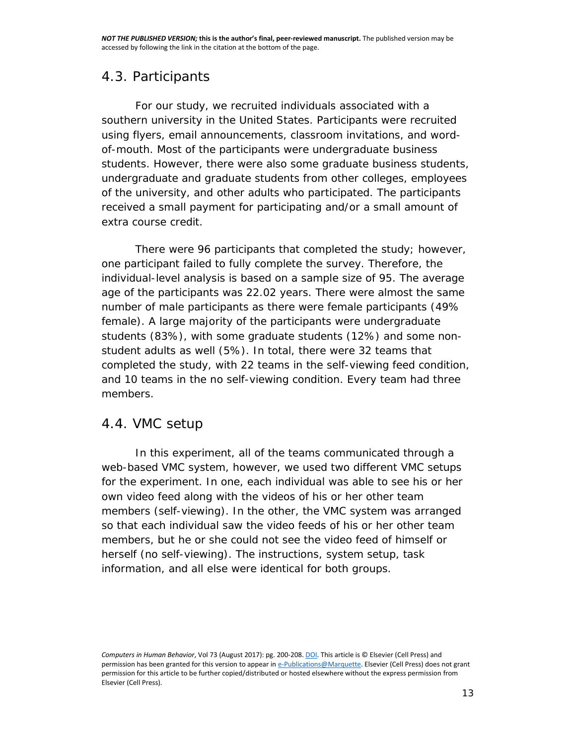### *4.3. Participants*

For our study, we recruited individuals associated with a southern university in the United States. Participants were recruited using flyers, email announcements, classroom invitations, and wordof-mouth. Most of the participants were undergraduate business students. However, there were also some graduate business students, undergraduate and graduate students from other colleges, employees of the university, and other adults who participated. The participants received a small payment for participating and/or a small amount of extra course credit.

There were 96 participants that completed the study; however, one participant failed to fully complete the survey. Therefore, the individual-level analysis is based on a sample size of 95. The average age of the participants was 22.02 years. There were almost the same number of male participants as there were female participants (49% female). A large majority of the participants were undergraduate students (83%), with some graduate students (12%) and some nonstudent adults as well (5%). In total, there were 32 teams that completed the study, with 22 teams in the self-viewing feed condition, and 10 teams in the no self-viewing condition. Every team had three members.

### *4.4. VMC setup*

In this experiment, all of the teams communicated through a web-based VMC system, however, we used two different VMC setups for the experiment. In one, each individual was able to see his or her own video feed along with the videos of his or her other team members (self-viewing). In the other, the VMC system was arranged so that each individual saw the video feeds of his or her other team members, but he or she could not see the video feed of himself or herself (no self-viewing). The instructions, system setup, task information, and all else were identical for both groups.

*Computers in Human Behavior*, Vol 73 (August 2017): pg. 200-208[. DOI.](https://doi.org/10.1016/j.chb.2017.03.039) This article is © Elsevier (Cell Press) and permission has been granted for this version to appear i[n e-Publications@Marquette.](http://epublications.marquette.edu/) Elsevier (Cell Press) does not grant permission for this article to be further copied/distributed or hosted elsewhere without the express permission from Elsevier (Cell Press).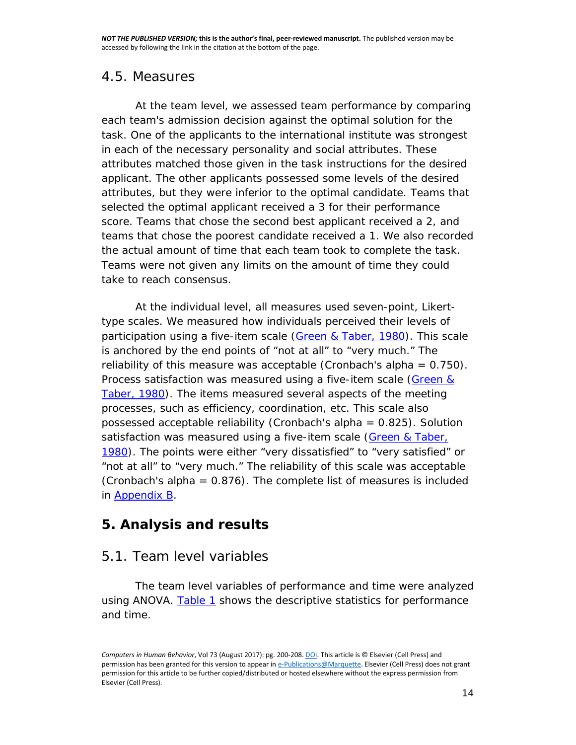#### *4.5. Measures*

At the team level, we assessed team performance by comparing each team's admission decision against the optimal solution for the task. One of the applicants to the international institute was strongest in each of the necessary personality and social attributes. These attributes matched those given in the task instructions for the desired applicant. The other applicants possessed some levels of the desired attributes, but they were inferior to the optimal candidate. Teams that selected the optimal applicant received a 3 for their performance score. Teams that chose the second best applicant received a 2, and teams that chose the poorest candidate received a 1. We also recorded the actual amount of time that each team took to complete the task. Teams were not given any limits on the amount of time they could take to reach consensus.

At the individual level, all measures used seven-point, Likerttype scales. We measured how individuals perceived their levels of participation using a five-item scale [\(Green & Taber, 1980\)](http://www.sciencedirect.com/science/article/pii/S0747563217301966?via%3Dihub#bib15). This scale is anchored by the end points of "not at all" to "very much." The reliability of this measure was acceptable (Cronbach's alpha  $= 0.750$ ). Process satisfaction was measured using a five-item scale [\(Green &](http://www.sciencedirect.com/science/article/pii/S0747563217301966?via%3Dihub#bib15)  [Taber, 1980\)](http://www.sciencedirect.com/science/article/pii/S0747563217301966?via%3Dihub#bib15). The items measured several aspects of the meeting processes, such as efficiency, coordination, etc. This scale also possessed acceptable reliability (Cronbach's alpha = 0.825). Solution satisfaction was measured using a five-item scale (Green & Taber, [1980\)](http://www.sciencedirect.com/science/article/pii/S0747563217301966?via%3Dihub#bib15). The points were either "very dissatisfied" to "very satisfied" or "not at all" to "very much." The reliability of this scale was acceptable (Cronbach's alpha = 0.876). The complete list of measures is included in [Appendix B.](http://www.sciencedirect.com/science/article/pii/S0747563217301966?via%3Dihub#appsec2)

### **5. Analysis and results**

### *5.1. Team level variables*

The team level variables of performance and time were analyzed using ANOVA. [Table](http://www.sciencedirect.com/science/article/pii/S0747563217301966?via%3Dihub#tbl1) 1 shows the descriptive statistics for performance and time.

*Computers in Human Behavior*, Vol 73 (August 2017): pg. 200-208[. DOI.](https://doi.org/10.1016/j.chb.2017.03.039) This article is © Elsevier (Cell Press) and permission has been granted for this version to appear i[n e-Publications@Marquette.](http://epublications.marquette.edu/) Elsevier (Cell Press) does not grant permission for this article to be further copied/distributed or hosted elsewhere without the express permission from Elsevier (Cell Press).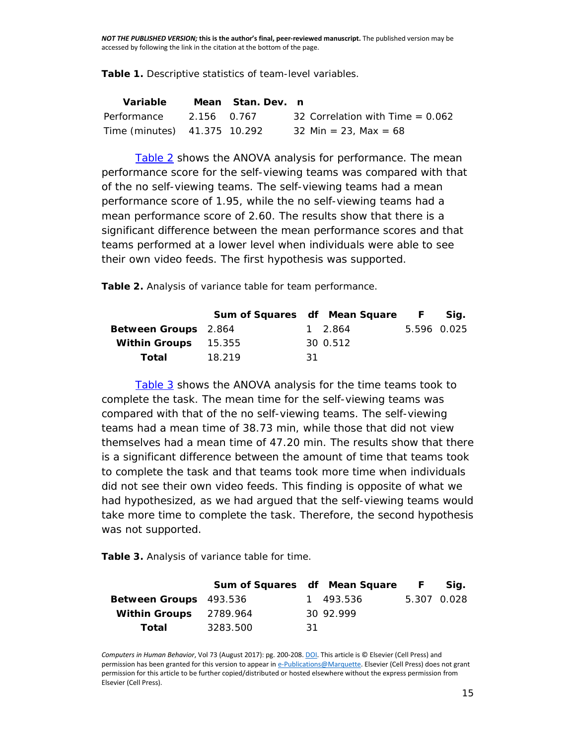*NOT THE PUBLISHED VERSION;* **this is the author's final, peer-reviewed manuscript.** The published version may be accessed by following the link in the citation at the bottom of the page.

**Table 1.** Descriptive statistics of team-level variables.

| Variable                     |             | Mean Stan. Dev. n |                                    |
|------------------------------|-------------|-------------------|------------------------------------|
| Performance                  | 2.156 0.767 |                   | 32 Correlation with Time $= 0.062$ |
| Time (minutes) 41.375 10.292 |             |                   | 32 Min = 23, Max = $68$            |

[Table](http://www.sciencedirect.com/science/article/pii/S0747563217301966?via%3Dihub#tbl2) 2 shows the ANOVA analysis for performance. The mean performance score for the self-viewing teams was compared with that of the no self-viewing teams. The self-viewing teams had a mean performance score of 1.95, while the no self-viewing teams had a mean performance score of 2.60. The results show that there is a significant difference between the mean performance scores and that teams performed at a lower level when individuals were able to see their own video feeds. The first hypothesis was supported.

**Table 2.** Analysis of variance table for team performance.

|                             | Sum of Squares df Mean Square F |     |          |             | Sig. |
|-----------------------------|---------------------------------|-----|----------|-------------|------|
| <b>Between Groups</b> 2.864 |                                 |     | 1 2.864  | 5.596 0.025 |      |
| <b>Within Groups</b> 15.355 |                                 |     | 30 0.512 |             |      |
| Total                       | 18.219                          | -31 |          |             |      |

[Table](http://www.sciencedirect.com/science/article/pii/S0747563217301966?via%3Dihub#tbl3) 3 shows the ANOVA analysis for the time teams took to complete the task. The mean time for the self-viewing teams was compared with that of the no self-viewing teams. The self-viewing teams had a mean time of 38.73 min, while those that did not view themselves had a mean time of 47.20 min. The results show that there is a significant difference between the amount of time that teams took to complete the task and that teams took more time when individuals did not see their own video feeds. This finding is opposite of what we had hypothesized, as we had argued that the self-viewing teams would take more time to complete the task. Therefore, the second hypothesis was not supported.

**Table 3.** Analysis of variance table for time.

|                        | Sum of Squares df Mean Square F |     |           | Sia.        |
|------------------------|---------------------------------|-----|-----------|-------------|
| Between Groups 493.536 |                                 |     | 1 493.536 | 5.307 0.028 |
| Within Groups 2789.964 |                                 |     | 30 92.999 |             |
| Total                  | 3283.500                        | -31 |           |             |

*Computers in Human Behavior*, Vol 73 (August 2017): pg. 200-208[. DOI.](https://doi.org/10.1016/j.chb.2017.03.039) This article is © Elsevier (Cell Press) and permission has been granted for this version to appear i[n e-Publications@Marquette.](http://epublications.marquette.edu/) Elsevier (Cell Press) does not grant permission for this article to be further copied/distributed or hosted elsewhere without the express permission from Elsevier (Cell Press).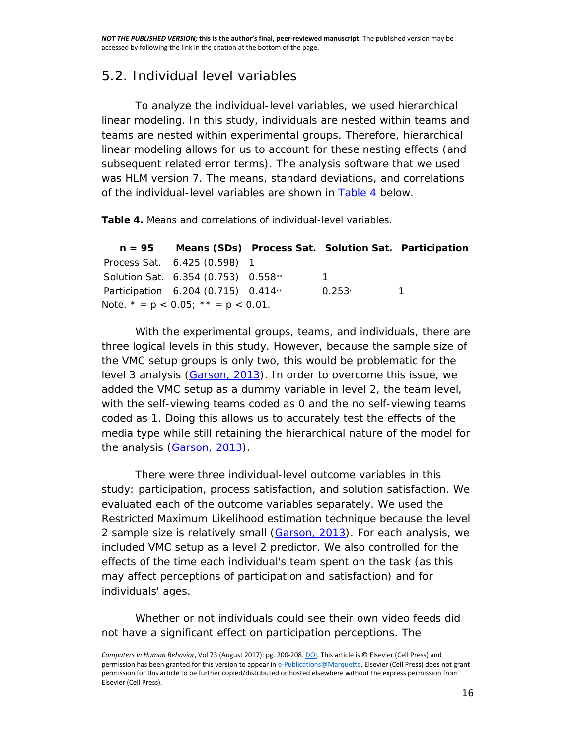### *5.2. Individual level variables*

To analyze the individual-level variables, we used hierarchical linear modeling. In this study, individuals are nested within teams and teams are nested within experimental groups. Therefore, hierarchical linear modeling allows for us to account for these nesting effects (and subsequent related error terms). The analysis software that we used was HLM version 7. The means, standard deviations, and correlations of the individual-level variables are shown in [Table](http://www.sciencedirect.com/science/article/pii/S0747563217301966?via%3Dihub#tbl4) 4 below.

**Table 4.** Means and correlations of individual-level variables.

| n = 95                                   |                                     |  | Means (SDs) Process Sat. Solution Sat. Participation |                |  |
|------------------------------------------|-------------------------------------|--|------------------------------------------------------|----------------|--|
|                                          | Process Sat. 6.425 (0.598) 1        |  |                                                      |                |  |
|                                          | Solution Sat. 6.354 (0.753) 0.558** |  |                                                      |                |  |
|                                          | Participation 6.204 (0.715) 0.414** |  | $0.253*$                                             | $\overline{1}$ |  |
| Note. $* = p < 0.05$ ; $** = p < 0.01$ . |                                     |  |                                                      |                |  |

With the experimental groups, teams, and individuals, there are three logical levels in this study. However, because the sample size of the VMC setup groups is only two, this would be problematic for the level 3 analysis [\(Garson, 2013\)](http://www.sciencedirect.com/science/article/pii/S0747563217301966?via%3Dihub#bib13). In order to overcome this issue, we added the VMC setup as a dummy variable in level 2, the team level, with the self-viewing teams coded as 0 and the no self-viewing teams coded as 1. Doing this allows us to accurately test the effects of the media type while still retaining the hierarchical nature of the model for the analysis [\(Garson, 2013\)](http://www.sciencedirect.com/science/article/pii/S0747563217301966?via%3Dihub#bib13).

There were three individual-level outcome variables in this study: participation, process satisfaction, and solution satisfaction. We evaluated each of the outcome variables separately. We used the Restricted Maximum Likelihood estimation technique because the level 2 sample size is relatively small [\(Garson, 2013\)](http://www.sciencedirect.com/science/article/pii/S0747563217301966?via%3Dihub#bib13). For each analysis, we included VMC setup as a level 2 predictor. We also controlled for the effects of the time each individual's team spent on the task (as this may affect perceptions of participation and satisfaction) and for individuals' ages.

Whether or not individuals could see their own video feeds did not have a significant effect on participation perceptions. The

*Computers in Human Behavior*, Vol 73 (August 2017): pg. 200-208[. DOI.](https://doi.org/10.1016/j.chb.2017.03.039) This article is © Elsevier (Cell Press) and permission has been granted for this version to appear i[n e-Publications@Marquette.](http://epublications.marquette.edu/) Elsevier (Cell Press) does not grant permission for this article to be further copied/distributed or hosted elsewhere without the express permission from Elsevier (Cell Press).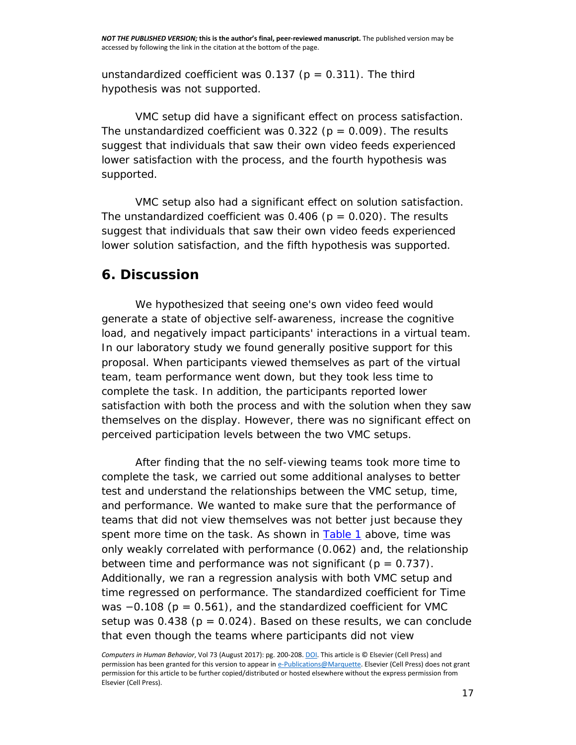unstandardized coefficient was 0.137 ( $p = 0.311$ ). The third hypothesis was not supported.

VMC setup did have a significant effect on process satisfaction. The unstandardized coefficient was  $0.322$  ( $p = 0.009$ ). The results suggest that individuals that saw their own video feeds experienced lower satisfaction with the process, and the fourth hypothesis was supported.

VMC setup also had a significant effect on solution satisfaction. The unstandardized coefficient was 0.406 ( $p = 0.020$ ). The results suggest that individuals that saw their own video feeds experienced lower solution satisfaction, and the fifth hypothesis was supported.

### **6. Discussion**

We hypothesized that seeing one's own video feed would generate a state of objective self-awareness, increase the cognitive load, and negatively impact participants' interactions in a virtual team. In our laboratory study we found generally positive support for this proposal. When participants viewed themselves as part of the virtual team, team performance went down, but they took less time to complete the task. In addition, the participants reported lower satisfaction with both the process and with the solution when they saw themselves on the display. However, there was no significant effect on perceived participation levels between the two VMC setups.

After finding that the no self-viewing teams took more time to complete the task, we carried out some additional analyses to better test and understand the relationships between the VMC setup, time, and performance. We wanted to make sure that the performance of teams that did not view themselves was not better just because they spent more time on the task. As shown in **Table 1** above, time was only weakly correlated with performance (0.062) and, the relationship between time and performance was not significant ( $p = 0.737$ ). Additionally, we ran a regression analysis with both VMC setup and time regressed on performance. The standardized coefficient for Time was  $-0.108$  ( $p = 0.561$ ), and the standardized coefficient for VMC setup was  $0.438$  ( $p = 0.024$ ). Based on these results, we can conclude that even though the teams where participants did not view

*Computers in Human Behavior*, Vol 73 (August 2017): pg. 200-208[. DOI.](https://doi.org/10.1016/j.chb.2017.03.039) This article is © Elsevier (Cell Press) and permission has been granted for this version to appear i[n e-Publications@Marquette.](http://epublications.marquette.edu/) Elsevier (Cell Press) does not grant permission for this article to be further copied/distributed or hosted elsewhere without the express permission from Elsevier (Cell Press).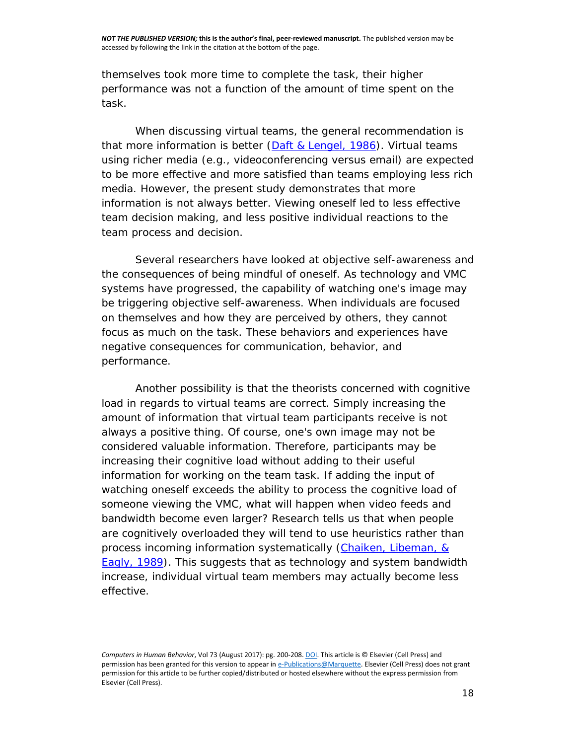themselves took more time to complete the task, their higher performance was not a function of the amount of time spent on the task.

When discussing virtual teams, the general recommendation is that more information is better [\(Daft & Lengel, 1986\)](http://www.sciencedirect.com/science/article/pii/S0747563217301966?via%3Dihub#bib7). Virtual teams using richer media (e.g., videoconferencing versus email) are expected to be more effective and more satisfied than teams employing less rich media. However, the present study demonstrates that more information is not always better. Viewing oneself led to less effective team decision making, and less positive individual reactions to the team process and decision.

Several researchers have looked at objective self-awareness and the consequences of being mindful of oneself. As technology and VMC systems have progressed, the capability of watching one's image may be triggering objective self-awareness. When individuals are focused on themselves and how they are perceived by others, they cannot focus as much on the task. These behaviors and experiences have negative consequences for communication, behavior, and performance.

Another possibility is that the theorists concerned with cognitive load in regards to virtual teams are correct. Simply increasing the amount of information that virtual team participants receive is not always a positive thing. Of course, one's own image may not be considered valuable information. Therefore, participants may be increasing their cognitive load without adding to their useful information for working on the team task. If adding the input of watching oneself exceeds the ability to process the cognitive load of someone viewing the VMC, what will happen when video feeds and bandwidth become even larger? Research tells us that when people are cognitively overloaded they will tend to use heuristics rather than process incoming information systematically [\(Chaiken, Libeman, &](http://www.sciencedirect.com/science/article/pii/S0747563217301966?via%3Dihub#bib5)  [Eagly, 1989\)](http://www.sciencedirect.com/science/article/pii/S0747563217301966?via%3Dihub#bib5). This suggests that as technology and system bandwidth increase, individual virtual team members may actually become less effective.

*Computers in Human Behavior*, Vol 73 (August 2017): pg. 200-208[. DOI.](https://doi.org/10.1016/j.chb.2017.03.039) This article is © Elsevier (Cell Press) and permission has been granted for this version to appear i[n e-Publications@Marquette.](http://epublications.marquette.edu/) Elsevier (Cell Press) does not grant permission for this article to be further copied/distributed or hosted elsewhere without the express permission from Elsevier (Cell Press).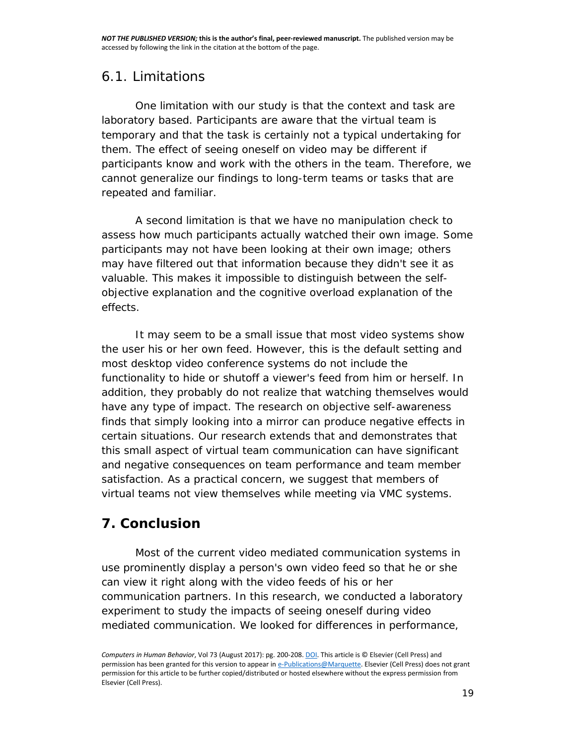### *6.1. Limitations*

One limitation with our study is that the context and task are laboratory based. Participants are aware that the virtual team is temporary and that the task is certainly not a typical undertaking for them. The effect of seeing oneself on video may be different if participants know and work with the others in the team. Therefore, we cannot generalize our findings to long-term teams or tasks that are repeated and familiar.

A second limitation is that we have no manipulation check to assess how much participants actually watched their own image. Some participants may not have been looking at their own image; others may have filtered out that information because they didn't see it as valuable. This makes it impossible to distinguish between the selfobjective explanation and the cognitive overload explanation of the effects.

It may seem to be a small issue that most video systems show the user his or her own feed. However, this is the default setting and most desktop video conference systems do not include the functionality to hide or shutoff a viewer's feed from him or herself. In addition, they probably do not realize that watching themselves would have any type of impact. The research on objective self-awareness finds that simply looking into a mirror can produce negative effects in certain situations. Our research extends that and demonstrates that this small aspect of virtual team communication can have significant and negative consequences on team performance and team member satisfaction. As a practical concern, we suggest that members of virtual teams not view themselves while meeting via VMC systems.

### **7. Conclusion**

Most of the current video mediated communication systems in use prominently display a person's own video feed so that he or she can view it right along with the video feeds of his or her communication partners. In this research, we conducted a laboratory experiment to study the impacts of seeing oneself during video mediated communication. We looked for differences in performance,

*Computers in Human Behavior*, Vol 73 (August 2017): pg. 200-208[. DOI.](https://doi.org/10.1016/j.chb.2017.03.039) This article is © Elsevier (Cell Press) and permission has been granted for this version to appear i[n e-Publications@Marquette.](http://epublications.marquette.edu/) Elsevier (Cell Press) does not grant permission for this article to be further copied/distributed or hosted elsewhere without the express permission from Elsevier (Cell Press).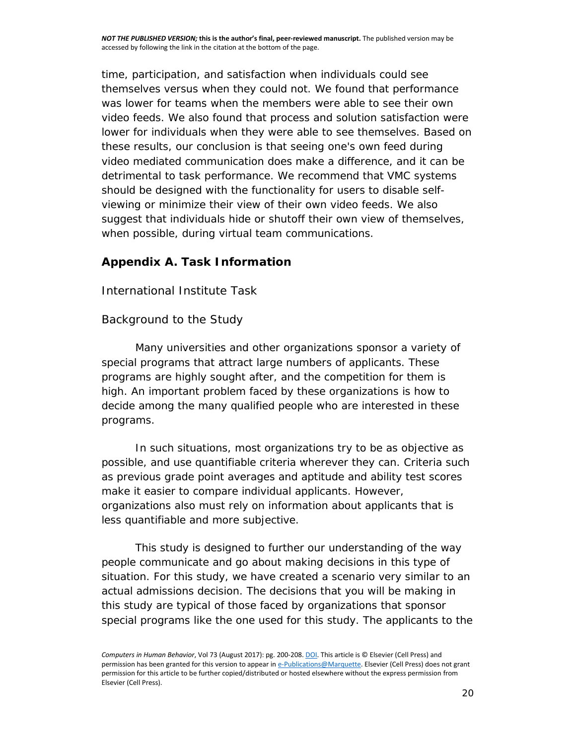*NOT THE PUBLISHED VERSION;* **this is the author's final, peer-reviewed manuscript.** The published version may be accessed by following the link in the citation at the bottom of the page.

time, participation, and satisfaction when individuals could see themselves versus when they could not. We found that performance was lower for teams when the members were able to see their own video feeds. We also found that process and solution satisfaction were lower for individuals when they were able to see themselves. Based on these results, our conclusion is that seeing one's own feed during video mediated communication does make a difference, and it can be detrimental to task performance. We recommend that VMC systems should be designed with the functionality for users to disable selfviewing or minimize their view of their own video feeds. We also suggest that individuals hide or shutoff their own view of themselves, when possible, during virtual team communications.

#### **Appendix A. Task Information**

#### *International Institute Task*

#### *Background to the Study*

Many universities and other organizations sponsor a variety of special programs that attract large numbers of applicants. These programs are highly sought after, and the competition for them is high. An important problem faced by these organizations is how to decide among the many qualified people who are interested in these programs.

In such situations, most organizations try to be as objective as possible, and use quantifiable criteria wherever they can. Criteria such as previous grade point averages and aptitude and ability test scores make it easier to compare individual applicants. However, organizations also must rely on information about applicants that is less quantifiable and more subjective.

This study is designed to further our understanding of the way people communicate and go about making decisions in this type of situation. For this study, we have created a scenario very similar to an actual admissions decision. The decisions that you will be making in this study are typical of those faced by organizations that sponsor special programs like the one used for this study. The applicants to the

*Computers in Human Behavior*, Vol 73 (August 2017): pg. 200-208[. DOI.](https://doi.org/10.1016/j.chb.2017.03.039) This article is © Elsevier (Cell Press) and permission has been granted for this version to appear i[n e-Publications@Marquette.](http://epublications.marquette.edu/) Elsevier (Cell Press) does not grant permission for this article to be further copied/distributed or hosted elsewhere without the express permission from Elsevier (Cell Press).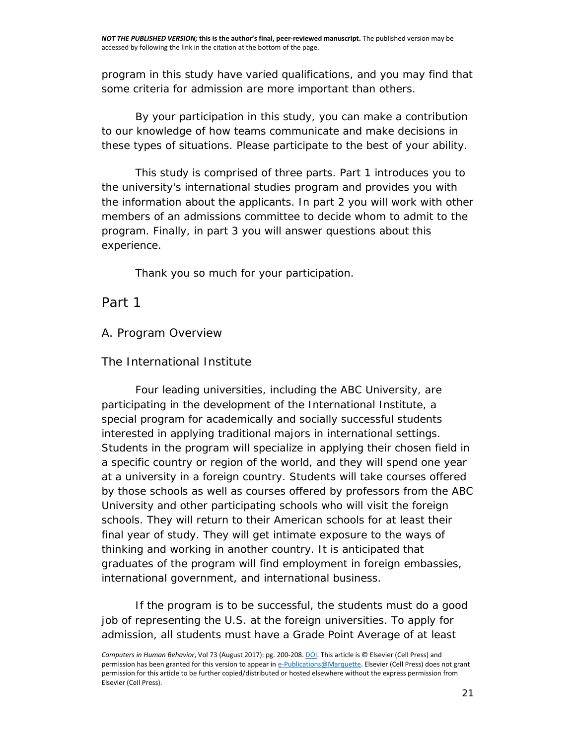program in this study have varied qualifications, and you may find that some criteria for admission are more important than others.

By your participation in this study, you can make a contribution to our knowledge of how teams communicate and make decisions in these types of situations. Please participate to the best of your ability.

This study is comprised of three parts. Part 1 introduces you to the university's international studies program and provides you with the information about the applicants. In part 2 you will work with other members of an admissions committee to decide whom to admit to the program. Finally, in part 3 you will answer questions about this experience.

Thank you so much for your participation.

#### *Part 1*

#### *A. Program Overview*

#### *The International Institute*

Four leading universities, including the ABC University, are participating in the development of the International Institute, a special program for academically and socially successful students interested in applying traditional majors in international settings. Students in the program will specialize in applying their chosen field in a specific country or region of the world, and they will spend one year at a university in a foreign country. Students will take courses offered by those schools as well as courses offered by professors from the ABC University and other participating schools who will visit the foreign schools. They will return to their American schools for at least their final year of study. They will get intimate exposure to the ways of thinking and working in another country. It is anticipated that graduates of the program will find employment in foreign embassies, international government, and international business.

If the program is to be successful, the students must do a good job of representing the U.S. at the foreign universities. To apply for admission, all students must have a Grade Point Average of at least

*Computers in Human Behavior*, Vol 73 (August 2017): pg. 200-208[. DOI.](https://doi.org/10.1016/j.chb.2017.03.039) This article is © Elsevier (Cell Press) and permission has been granted for this version to appear i[n e-Publications@Marquette.](http://epublications.marquette.edu/) Elsevier (Cell Press) does not grant permission for this article to be further copied/distributed or hosted elsewhere without the express permission from Elsevier (Cell Press).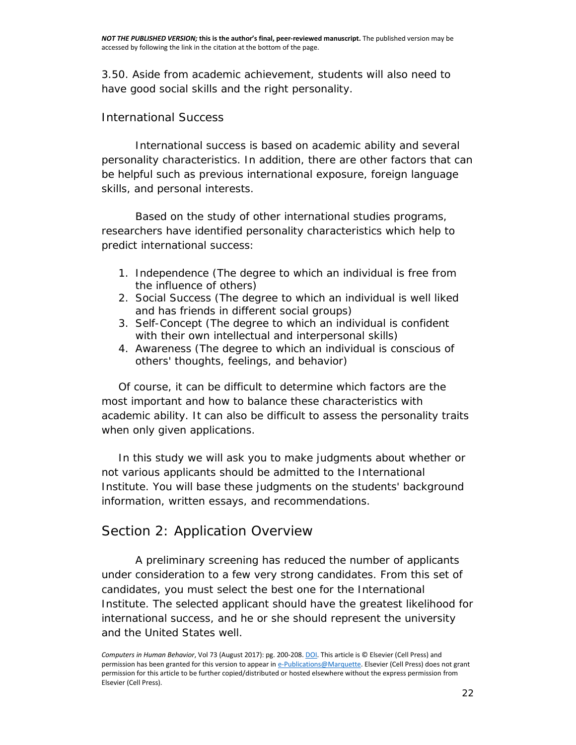3.50. Aside from academic achievement, students will also need to have good social skills and the right personality.

#### *International Success*

International success is based on academic ability and several personality characteristics. In addition, there are other factors that can be helpful such as previous international exposure, foreign language skills, and personal interests.

Based on the study of other international studies programs, researchers have identified personality characteristics which help to predict international success:

- 1. Independence (The degree to which an individual is free from the influence of others)
- 2. Social Success (The degree to which an individual is well liked and has friends in different social groups)
- 3. Self-Concept (The degree to which an individual is confident with their own intellectual and interpersonal skills)
- 4. Awareness (The degree to which an individual is conscious of others' thoughts, feelings, and behavior)

Of course, it can be difficult to determine which factors are the most important and how to balance these characteristics with academic ability. It can also be difficult to assess the personality traits when only given applications.

In this study we will ask you to make judgments about whether or not various applicants should be admitted to the International Institute. You will base these judgments on the students' background information, written essays, and recommendations.

### *Section 2: Application Overview*

A preliminary screening has reduced the number of applicants under consideration to a few very strong candidates. From this set of candidates, you must select the best one for the International Institute. The selected applicant should have the greatest likelihood for international success, and he or she should represent the university and the United States well.

*Computers in Human Behavior*, Vol 73 (August 2017): pg. 200-208[. DOI.](https://doi.org/10.1016/j.chb.2017.03.039) This article is © Elsevier (Cell Press) and permission has been granted for this version to appear i[n e-Publications@Marquette.](http://epublications.marquette.edu/) Elsevier (Cell Press) does not grant permission for this article to be further copied/distributed or hosted elsewhere without the express permission from Elsevier (Cell Press).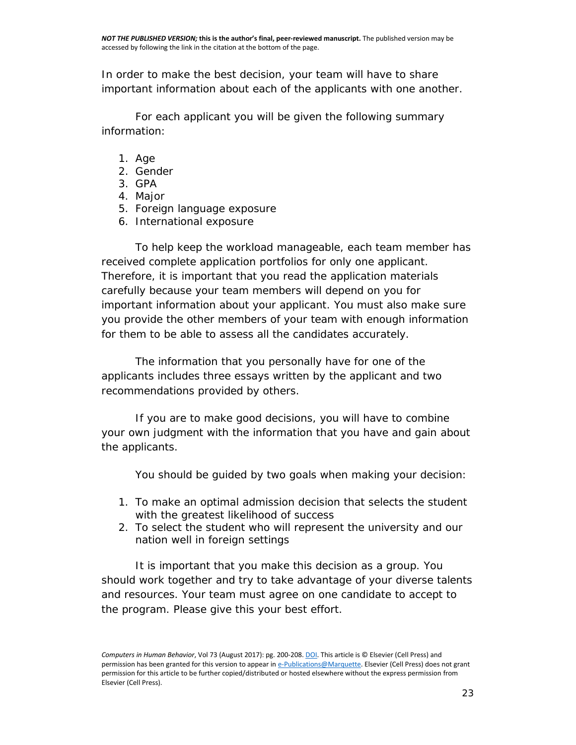In order to make the best decision, your team will have to share important information about each of the applicants with one another.

For each applicant you will be given the following summary information:

- 1. Age
- 2. Gender
- 3. GPA
- 4. Major
- 5. Foreign language exposure
- 6. International exposure

To help keep the workload manageable, each team member has received complete application portfolios for only one applicant. Therefore, it is important that you read the application materials carefully because your team members will depend on you for important information about your applicant. You must also make sure you provide the other members of your team with enough information for them to be able to assess all the candidates accurately.

The information that you personally have for one of the applicants includes three essays written by the applicant and two recommendations provided by others.

If you are to make good decisions, you will have to combine your own judgment with the information that you have and gain about the applicants.

You should be guided by two goals when making your decision:

- 1. To make an optimal admission decision that selects the student with the greatest likelihood of success
- 2. To select the student who will represent the university and our nation well in foreign settings

It is important that you make this decision as a group. You should work together and try to take advantage of your diverse talents and resources. Your team must agree on one candidate to accept to the program. Please give this your best effort.

*Computers in Human Behavior*, Vol 73 (August 2017): pg. 200-208[. DOI.](https://doi.org/10.1016/j.chb.2017.03.039) This article is © Elsevier (Cell Press) and permission has been granted for this version to appear i[n e-Publications@Marquette.](http://epublications.marquette.edu/) Elsevier (Cell Press) does not grant permission for this article to be further copied/distributed or hosted elsewhere without the express permission from Elsevier (Cell Press).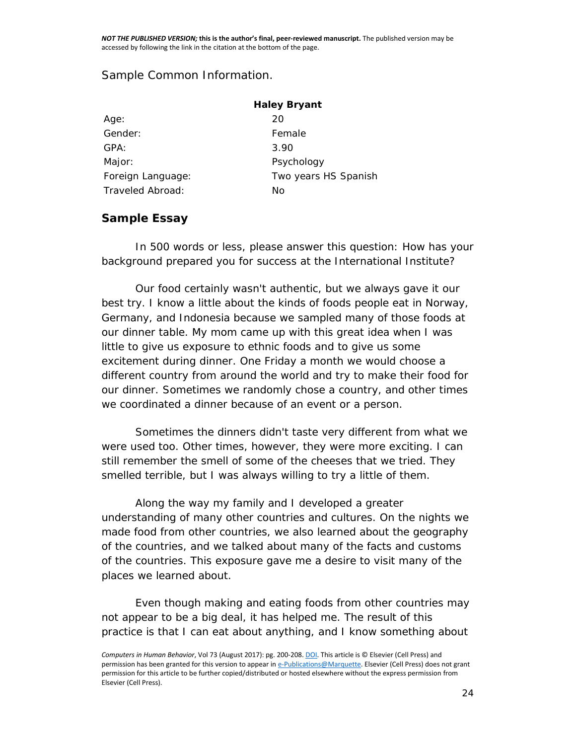#### *Sample Common Information.*

| <b>Haley Bryant</b>  |
|----------------------|
| 20                   |
| Female               |
| 3.90                 |
| Psychology           |
| Two years HS Spanish |
| No                   |
|                      |

#### **Sample Essay**

*In 500 words or less, please answer this question: How has your background prepared you for success at the International Institute?*

Our food certainly wasn't authentic, but we always gave it our best try. I know a little about the kinds of foods people eat in Norway, Germany, and Indonesia because we sampled many of those foods at our dinner table. My mom came up with this great idea when I was little to give us exposure to ethnic foods and to give us some excitement during dinner. One Friday a month we would choose a different country from around the world and try to make their food for our dinner. Sometimes we randomly chose a country, and other times we coordinated a dinner because of an event or a person.

Sometimes the dinners didn't taste very different from what we were used too. Other times, however, they were more exciting. I can still remember the smell of some of the cheeses that we tried. They smelled terrible, but I was always willing to try a little of them.

Along the way my family and I developed a greater understanding of many other countries and cultures. On the nights we made food from other countries, we also learned about the geography of the countries, and we talked about many of the facts and customs of the countries. This exposure gave me a desire to visit many of the places we learned about.

Even though making and eating foods from other countries may not appear to be a big deal, it has helped me. The result of this practice is that I can eat about anything, and I know something about

*Computers in Human Behavior*, Vol 73 (August 2017): pg. 200-208[. DOI.](https://doi.org/10.1016/j.chb.2017.03.039) This article is © Elsevier (Cell Press) and permission has been granted for this version to appear i[n e-Publications@Marquette.](http://epublications.marquette.edu/) Elsevier (Cell Press) does not grant permission for this article to be further copied/distributed or hosted elsewhere without the express permission from Elsevier (Cell Press).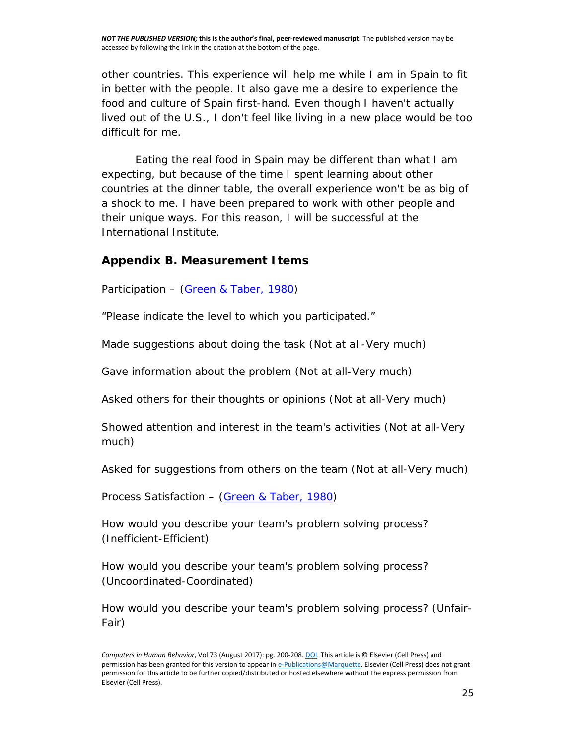other countries. This experience will help me while I am in Spain to fit in better with the people. It also gave me a desire to experience the food and culture of Spain first-hand. Even though I haven't actually lived out of the U.S., I don't feel like living in a new place would be too difficult for me.

Eating the real food in Spain may be different than what I am expecting, but because of the time I spent learning about other countries at the dinner table, the overall experience won't be as big of a shock to me. I have been prepared to work with other people and their unique ways. For this reason, I will be successful at the International Institute.

#### **Appendix B. Measurement Items**

Participation - [\(Green & Taber, 1980\)](http://www.sciencedirect.com/science/article/pii/S0747563217301966?via%3Dihub#bib15)

"Please indicate the level to which you participated."

Made suggestions about doing the task (Not at all-Very much)

Gave information about the problem (Not at all-Very much)

Asked others for their thoughts or opinions (Not at all-Very much)

Showed attention and interest in the team's activities (Not at all-Very much)

Asked for suggestions from others on the team (Not at all-Very much)

Process Satisfaction - [\(Green & Taber, 1980\)](http://www.sciencedirect.com/science/article/pii/S0747563217301966?via%3Dihub#bib15)

How would you describe your team's problem solving process? (Inefficient-Efficient)

How would you describe your team's problem solving process? (Uncoordinated-Coordinated)

How would you describe your team's problem solving process? (Unfair-Fair)

*Computers in Human Behavior*, Vol 73 (August 2017): pg. 200-208[. DOI.](https://doi.org/10.1016/j.chb.2017.03.039) This article is © Elsevier (Cell Press) and permission has been granted for this version to appear i[n e-Publications@Marquette.](http://epublications.marquette.edu/) Elsevier (Cell Press) does not grant permission for this article to be further copied/distributed or hosted elsewhere without the express permission from Elsevier (Cell Press).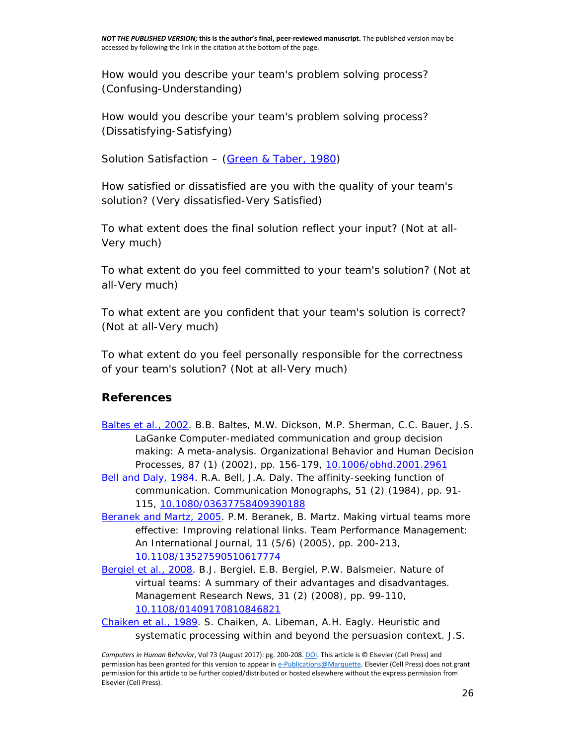How would you describe your team's problem solving process? (Confusing-Understanding)

How would you describe your team's problem solving process? (Dissatisfying-Satisfying)

Solution Satisfaction - [\(Green & Taber, 1980\)](http://www.sciencedirect.com/science/article/pii/S0747563217301966?via%3Dihub#bib15)

How satisfied or dissatisfied are you with the quality of your team's solution? (Very dissatisfied-Very Satisfied)

To what extent does the final solution reflect your input? (Not at all-Very much)

To what extent do you feel committed to your team's solution? (Not at all-Very much)

To what extent are you confident that your team's solution is correct? (Not at all-Very much)

To what extent do you feel personally responsible for the correctness of your team's solution? (Not at all-Very much)

#### **References**

- Baltes et [al., 2002.](http://www.sciencedirect.com/science/article/pii/S0747563217301966?via%3Dihub#bbib1) B.B. Baltes, M.W. Dickson, M.P. Sherman, C.C. Bauer, J.S. LaGanke Computer-mediated communication and group decision making: A meta-analysis. *Organizational Behavior and Human Decision Processes*, 87 (1) (2002), pp. 156-179, [10.1006/obhd.2001.2961](https://doi.org/10.1006/obhd.2001.2961)
- [Bell and Daly, 1984.](http://www.sciencedirect.com/science/article/pii/S0747563217301966?via%3Dihub#bbib2) R.A. Bell, J.A. Daly. The affinity-seeking function of communication. *Communication Monographs*, 51 (2) (1984), pp. 91- 115, [10.1080/03637758409390188](https://doi.org/10.1080/03637758409390188)
- [Beranek and Martz, 2005.](http://www.sciencedirect.com/science/article/pii/S0747563217301966?via%3Dihub#bbib3) P.M. Beranek, B. Martz. Making virtual teams more effective: Improving relational links. *Team Performance Management: An International Journal,* 11 (5/6) (2005), pp. 200-213, [10.1108/13527590510617774](https://doi.org/10.1108/13527590510617774)
- [Bergiel et](http://www.sciencedirect.com/science/article/pii/S0747563217301966?via%3Dihub#bbib4) al., 2008. B.J. Bergiel, E.B. Bergiel, P.W. Balsmeier. Nature of virtual teams: A summary of their advantages and disadvantages. *Management Research News*, 31 (2) (2008), pp. 99-110, [10.1108/01409170810846821](https://doi.org/10.1108/01409170810846821)
- [Chaiken et](http://www.sciencedirect.com/science/article/pii/S0747563217301966?via%3Dihub#bbib5) al., 1989. S. Chaiken, A. Libeman, A.H. Eagly. Heuristic and systematic processing within and beyond the persuasion context. J.S.

*Computers in Human Behavior*, Vol 73 (August 2017): pg. 200-208[. DOI.](https://doi.org/10.1016/j.chb.2017.03.039) This article is © Elsevier (Cell Press) and permission has been granted for this version to appear i[n e-Publications@Marquette.](http://epublications.marquette.edu/) Elsevier (Cell Press) does not grant permission for this article to be further copied/distributed or hosted elsewhere without the express permission from Elsevier (Cell Press).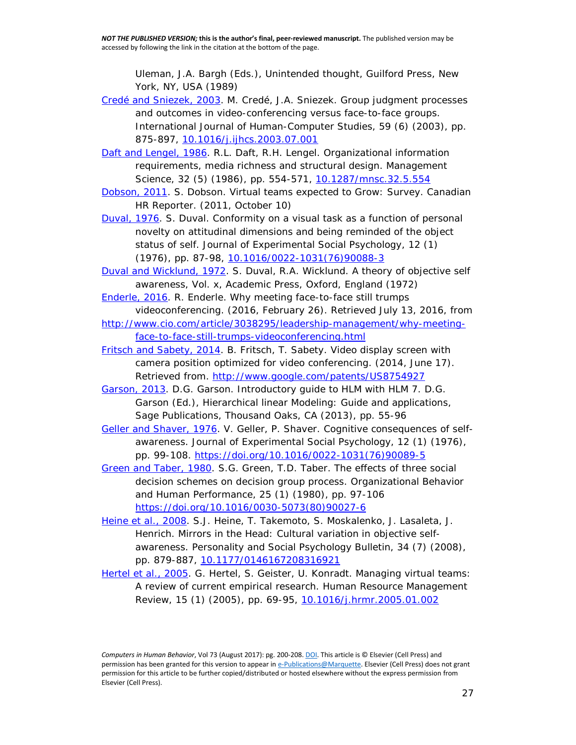Uleman, J.A. Bargh (Eds.), *Unintended thought*, Guilford Press, New York, NY, USA (1989)

- [Credé and Sniezek, 2003.](http://www.sciencedirect.com/science/article/pii/S0747563217301966?via%3Dihub#bbib6) M. Credé, J.A. Sniezek. Group judgment processes and outcomes in video-conferencing versus face-to-face groups. *International Journal of Human-Computer Studies*, 59 (6) (2003), pp. 875-897, [10.1016/j.ijhcs.2003.07.001](https://doi.org/10.1016/j.ijhcs.2003.07.001)
- [Daft and Lengel, 1986.](http://www.sciencedirect.com/science/article/pii/S0747563217301966?via%3Dihub#bbib7) R.L. Daft, R.H. Lengel. Organizational information requirements, media richness and structural design. *Management Science*, 32 (5) (1986), pp. 554-571, [10.1287/mnsc.32.5.554](https://doi.org/10.1287/mnsc.32.5.554)
- [Dobson, 2011.](http://www.sciencedirect.com/science/article/pii/S0747563217301966?via%3Dihub#bbib8) S. Dobson. Virtual teams expected to Grow: Survey. *Canadian HR Reporter*. (2011, October 10)
- [Duval, 1976.](http://www.sciencedirect.com/science/article/pii/S0747563217301966?via%3Dihub#bbib9) S. Duval. Conformity on a visual task as a function of personal novelty on attitudinal dimensions and being reminded of the object status of self. *Journal of Experimental Social Psychology*, 12 (1) (1976), pp. 87-98, [10.1016/0022-1031\(76\)90088-3](https://doi.org/10.1016/0022-1031%2876%2990088-3)

[Duval and Wicklund, 1972.](http://www.sciencedirect.com/science/article/pii/S0747563217301966?via%3Dihub#bbib10) S. Duval, R.A. Wicklund. *A theory of objective self awareness, Vol. x,* Academic Press, Oxford, England (1972)

[Enderle, 2016.](http://www.sciencedirect.com/science/article/pii/S0747563217301966?via%3Dihub#bbib11) R. Enderle. *Why meeting face-to-face still trumps videoconferencing.* (2016, February 26). Retrieved July 13, 2016, from

[http://www.cio.com/article/3038295/leadership-management/why-meeting](http://www.cio.com/article/3038295/leadership-management/why-meeting-face-to-face-still-trumps-videoconferencing.html)[face-to-face-still-trumps-videoconferencing.html](http://www.cio.com/article/3038295/leadership-management/why-meeting-face-to-face-still-trumps-videoconferencing.html)

- [Fritsch and Sabety, 2014.](http://www.sciencedirect.com/science/article/pii/S0747563217301966?via%3Dihub#bbib12) B. Fritsch, T. Sabety. Video display screen with camera position optimized for video conferencing. (2014, June 17). Retrieved from.<http://www.google.com/patents/US8754927>
- [Garson, 2013.](http://www.sciencedirect.com/science/article/pii/S0747563217301966?via%3Dihub#bbib13) D.G. Garson. Introductory guide to HLM with HLM 7. D.G. Garson (Ed.), *Hierarchical linear Modeling: Guide and applications*, Sage Publications, Thousand Oaks, CA (2013), pp. 55-96
- [Geller and Shaver, 1976.](http://www.sciencedirect.com/science/article/pii/S0747563217301966?via%3Dihub#bbib14) V. Geller, P. Shaver. Cognitive consequences of selfawareness. *Journal of Experimental Social Psychology*, 12 (1) (1976), pp. 99-108. [https://doi.org/10.1016/0022-1031\(76\)90089-5](https://doi.org/10.1016/0022-1031%2876%2990089-5)
- [Green and Taber, 1980.](http://www.sciencedirect.com/science/article/pii/S0747563217301966?via%3Dihub#bbib15) S.G. Green, T.D. Taber. The effects of three social decision schemes on decision group process. *Organizational Behavior and Human Performance*, 25 (1) (1980), pp. 97-106 [https://doi.org/10.1016/0030-5073\(80\)90027-6](https://doi.org/10.1016/0030-5073%2880%2990027-6)
- Heine et [al., 2008.](http://www.sciencedirect.com/science/article/pii/S0747563217301966?via%3Dihub#bbib16) S.J. Heine, T. Takemoto, S. Moskalenko, J. Lasaleta, J. Henrich. Mirrors in the Head: Cultural variation in objective selfawareness. *Personality and Social Psychology Bulletin*, 34 (7) (2008), pp. 879-887, [10.1177/0146167208316921](https://doi.org/10.1177/0146167208316921)
- Hertel et [al., 2005.](http://www.sciencedirect.com/science/article/pii/S0747563217301966?via%3Dihub#bbib17) G. Hertel, S. Geister, U. Konradt. Managing virtual teams: A review of current empirical research. *Human Resource Management Review*, 15 (1) (2005), pp. 69-95, [10.1016/j.hrmr.2005.01.002](https://doi.org/10.1016/j.hrmr.2005.01.002)

*Computers in Human Behavior*, Vol 73 (August 2017): pg. 200-208[. DOI.](https://doi.org/10.1016/j.chb.2017.03.039) This article is © Elsevier (Cell Press) and permission has been granted for this version to appear i[n e-Publications@Marquette.](http://epublications.marquette.edu/) Elsevier (Cell Press) does not grant permission for this article to be further copied/distributed or hosted elsewhere without the express permission from Elsevier (Cell Press).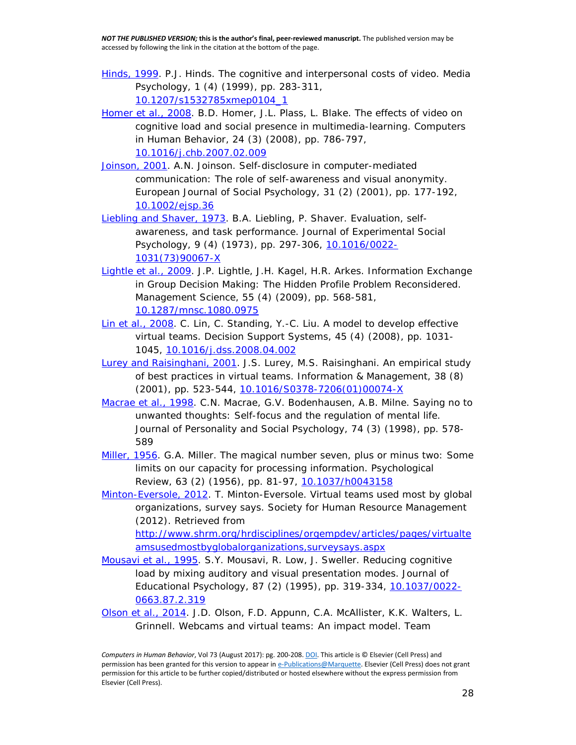*NOT THE PUBLISHED VERSION;* **this is the author's final, peer-reviewed manuscript.** The published version may be accessed by following the link in the citation at the bottom of the page.

- [Hinds, 1999.](http://www.sciencedirect.com/science/article/pii/S0747563217301966?via%3Dihub#bbib18) P.J. Hinds. The cognitive and interpersonal costs of video. *Media Psychology*, 1 (4) (1999), pp. 283-311, [10.1207/s1532785xmep0104\\_1](https://doi.org/10.1207/s1532785xmep0104_1)
- Homer et [al., 2008.](http://www.sciencedirect.com/science/article/pii/S0747563217301966?via%3Dihub#bbib19) B.D. Homer, J.L. Plass, L. Blake. The effects of video on cognitive load and social presence in multimedia-learning. *Computers in Human Behavior*, 24 (3) (2008), pp. 786-797, [10.1016/j.chb.2007.02.009](https://doi.org/10.1016/j.chb.2007.02.009)

[Joinson, 2001.](http://www.sciencedirect.com/science/article/pii/S0747563217301966?via%3Dihub#bbib20) A.N. Joinson. Self-disclosure in computer-mediated communication: The role of self-awareness and visual anonymity. *European Journal of Social Psychology*, 31 (2) (2001), pp. 177-192, [10.1002/ejsp.36](https://doi.org/10.1002/ejsp.36)

- [Liebling and Shaver, 1973.](http://www.sciencedirect.com/science/article/pii/S0747563217301966?via%3Dihub#bbib21) B.A. Liebling, P. Shaver. Evaluation, selfawareness, and task performance. *Journal of Experimental Social Psychology*, 9 (4) (1973), pp. 297-306, [10.1016/0022-](https://doi.org/10.1016/0022-1031%2873%2990067-X) [1031\(73\)90067-X](https://doi.org/10.1016/0022-1031%2873%2990067-X)
- Lightle et [al., 2009.](http://www.sciencedirect.com/science/article/pii/S0747563217301966?via%3Dihub#bbib22) J.P. Lightle, J.H. Kagel, H.R. Arkes. Information Exchange in Group Decision Making: The Hidden Profile Problem Reconsidered. *Management Science*, 55 (4) (2009), pp. 568-581, [10.1287/mnsc.1080.0975](https://doi.org/10.1287/mnsc.1080.0975)
- Lin et [al., 2008.](http://www.sciencedirect.com/science/article/pii/S0747563217301966?via%3Dihub#bbib23) C. Lin, C. Standing, Y.-C. Liu. A model to develop effective virtual teams. *Decision Support Systems*, 45 (4) (2008), pp. 1031- 1045, [10.1016/j.dss.2008.04.002](https://doi.org/10.1016/j.dss.2008.04.002)
- [Lurey and Raisinghani, 2001.](http://www.sciencedirect.com/science/article/pii/S0747563217301966?via%3Dihub#bbib24) J.S. Lurey, M.S. Raisinghani. An empirical study of best practices in virtual teams. *Information & Management*, 38 (8) (2001), pp. 523-544, [10.1016/S0378-7206\(01\)00074-X](https://doi.org/10.1016/S0378-7206%2801%2900074-X)
- [Macrae et](http://www.sciencedirect.com/science/article/pii/S0747563217301966?via%3Dihub#bbib25) al., 1998. C.N. Macrae, G.V. Bodenhausen, A.B. Milne. Saying no to unwanted thoughts: Self-focus and the regulation of mental life. *Journal of Personality and Social Psychology*, 74 (3) (1998), pp. 578- 589
- [Miller, 1956.](http://www.sciencedirect.com/science/article/pii/S0747563217301966?via%3Dihub#bbib26) G.A. Miller. The magical number seven, plus or minus two: Some limits on our capacity for processing information. *Psychological Review*, 63 (2) (1956), pp. 81-97, [10.1037/h0043158](https://doi.org/10.1037/h0043158)
- [Minton-Eversole, 2012.](http://www.sciencedirect.com/science/article/pii/S0747563217301966?via%3Dihub#bbib27) T. Minton-Eversole. Virtual teams used most by global organizations, survey says. *Society for Human Resource Management* (2012). Retrieved from

[http://www.shrm.org/hrdisciplines/orgempdev/articles/pages/virtualte](http://www.shrm.org/hrdisciplines/orgempdev/articles/pages/virtualteamsusedmostbyglobalorganizations,surveysays.aspx) [amsusedmostbyglobalorganizations,surveysays.aspx](http://www.shrm.org/hrdisciplines/orgempdev/articles/pages/virtualteamsusedmostbyglobalorganizations,surveysays.aspx)

- [Mousavi et](http://www.sciencedirect.com/science/article/pii/S0747563217301966?via%3Dihub#bbib28) al., 1995. S.Y. Mousavi, R. Low, J. Sweller. Reducing cognitive load by mixing auditory and visual presentation modes. *Journal of Educational Psychology*, 87 (2) (1995), pp. 319-334, [10.1037/0022-](https://doi.org/10.1037/0022-0663.87.2.319) [0663.87.2.319](https://doi.org/10.1037/0022-0663.87.2.319)
- Olson et [al., 2014.](http://www.sciencedirect.com/science/article/pii/S0747563217301966?via%3Dihub#bbib29) J.D. Olson, F.D. Appunn, C.A. McAllister, K.K. Walters, L. Grinnell. Webcams and virtual teams: An impact model. *Team*

*Computers in Human Behavior*, Vol 73 (August 2017): pg. 200-208[. DOI.](https://doi.org/10.1016/j.chb.2017.03.039) This article is © Elsevier (Cell Press) and permission has been granted for this version to appear i[n e-Publications@Marquette.](http://epublications.marquette.edu/) Elsevier (Cell Press) does not grant permission for this article to be further copied/distributed or hosted elsewhere without the express permission from Elsevier (Cell Press).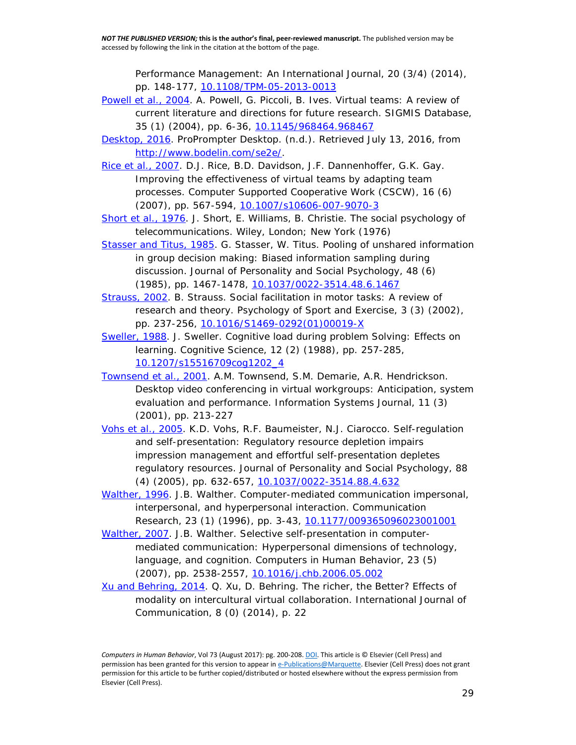*Performance Management: An International Journal*, 20 (3/4) (2014), pp. 148-177, [10.1108/TPM-05-2013-0013](https://doi.org/10.1108/TPM-05-2013-0013)

- Powell et [al., 2004.](http://www.sciencedirect.com/science/article/pii/S0747563217301966?via%3Dihub#bbib30) A. Powell, G. Piccoli, B. Ives. Virtual teams: A review of current literature and directions for future research. SIGMIS Database, 35 (1) (2004), pp. 6-36, [10.1145/968464.968467](https://doi.org/10.1145/968464.968467)
- [Desktop, 2016.](http://www.sciencedirect.com/science/article/pii/S0747563217301966?via%3Dihub#bbib31) ProPrompter Desktop. (n.d.). Retrieved July 13, 2016, from [http://www.bodelin.com/se2e/.](http://www.bodelin.com/se2e/)
- Rice et [al., 2007.](http://www.sciencedirect.com/science/article/pii/S0747563217301966?via%3Dihub#bbib32) D.J. Rice, B.D. Davidson, J.F. Dannenhoffer, G.K. Gay. Improving the effectiveness of virtual teams by adapting team processes. *Computer Supported Cooperative Work (CSCW),* 16 (6) (2007), pp. 567-594, [10.1007/s10606-007-9070-3](https://doi.org/10.1007/s10606-007-9070-3)
- Short et [al., 1976.](http://www.sciencedirect.com/science/article/pii/S0747563217301966?via%3Dihub#bbib33) J. Short, E. Williams, B. Christie. *The social psychology of telecommunications.* Wiley, London; New York (1976)
- [Stasser and Titus, 1985.](http://www.sciencedirect.com/science/article/pii/S0747563217301966?via%3Dihub#bbib34) G. Stasser, W. Titus. Pooling of unshared information in group decision making: Biased information sampling during discussion. *Journal of Personality and Social Psychology*, 48 (6) (1985), pp. 1467-1478, [10.1037/0022-3514.48.6.1467](https://doi.org/10.1037/0022-3514.48.6.1467)
- [Strauss, 2002.](http://www.sciencedirect.com/science/article/pii/S0747563217301966?via%3Dihub#bbib35) B. Strauss. Social facilitation in motor tasks: A review of research and theory. *Psychology of Sport and Exercise*, 3 (3) (2002), pp. 237-256, [10.1016/S1469-0292\(01\)00019-X](https://doi.org/10.1016/S1469-0292%2801%2900019-X)
- [Sweller, 1988.](http://www.sciencedirect.com/science/article/pii/S0747563217301966?via%3Dihub#bbib36) J. Sweller. Cognitive load during problem Solving: Effects on learning. *Cognitive Science*, 12 (2) (1988), pp. 257-285, [10.1207/s15516709cog1202\\_4](https://doi.org/10.1207/s15516709cog1202_4)
- [Townsend et](http://www.sciencedirect.com/science/article/pii/S0747563217301966?via%3Dihub#bbib37) al., 2001. A.M. Townsend, S.M. Demarie, A.R. Hendrickson. Desktop video conferencing in virtual workgroups: Anticipation, system evaluation and performance. *Information Systems Journal*, 11 (3) (2001), pp. 213-227
- Vohs et [al., 2005.](http://www.sciencedirect.com/science/article/pii/S0747563217301966?via%3Dihub#bbib38) K.D. Vohs, R.F. Baumeister, N.J. Ciarocco. Self-regulation and self-presentation: Regulatory resource depletion impairs impression management and effortful self-presentation depletes regulatory resources. *Journal of Personality and Social Psychology*, 88 (4) (2005), pp. 632-657, [10.1037/0022-3514.88.4.632](https://doi.org/10.1037/0022-3514.88.4.632)
- [Walther, 1996.](http://www.sciencedirect.com/science/article/pii/S0747563217301966?via%3Dihub#bbib39) J.B. Walther. Computer-mediated communication impersonal, interpersonal, and hyperpersonal interaction. *Communication Research*, 23 (1) (1996), pp. 3-43, [10.1177/009365096023001001](https://doi.org/10.1177/009365096023001001)
- [Walther, 2007.](http://www.sciencedirect.com/science/article/pii/S0747563217301966?via%3Dihub#bbib40) J.B. Walther. Selective self-presentation in computermediated communication: Hyperpersonal dimensions of technology, language, and cognition. *Computers in Human Behavior*, 23 (5) (2007), pp. 2538-2557, [10.1016/j.chb.2006.05.002](https://doi.org/10.1016/j.chb.2006.05.002)
- [Xu and Behring, 2014.](http://www.sciencedirect.com/science/article/pii/S0747563217301966?via%3Dihub#bbib41) Q. Xu, D. Behring. The richer, the Better? Effects of modality on intercultural virtual collaboration. *International Journal of Communication*, 8 (0) (2014), p. 22

*Computers in Human Behavior*, Vol 73 (August 2017): pg. 200-208[. DOI.](https://doi.org/10.1016/j.chb.2017.03.039) This article is © Elsevier (Cell Press) and permission has been granted for this version to appear i[n e-Publications@Marquette.](http://epublications.marquette.edu/) Elsevier (Cell Press) does not grant permission for this article to be further copied/distributed or hosted elsewhere without the express permission from Elsevier (Cell Press).